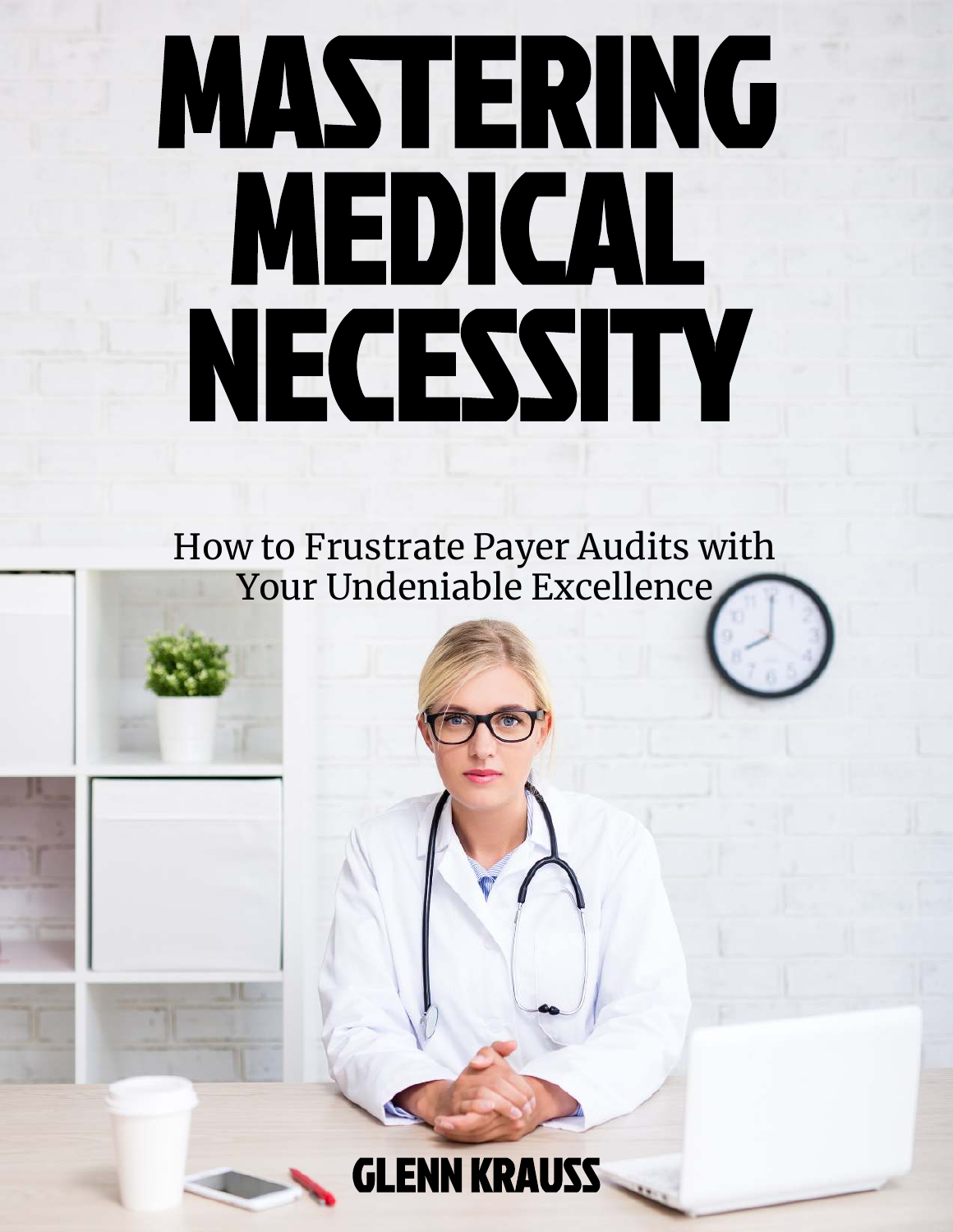# MASTERING MEDICAL NECESSITY

How to Frustrate Payer Audits with Your Undeniable Excellence

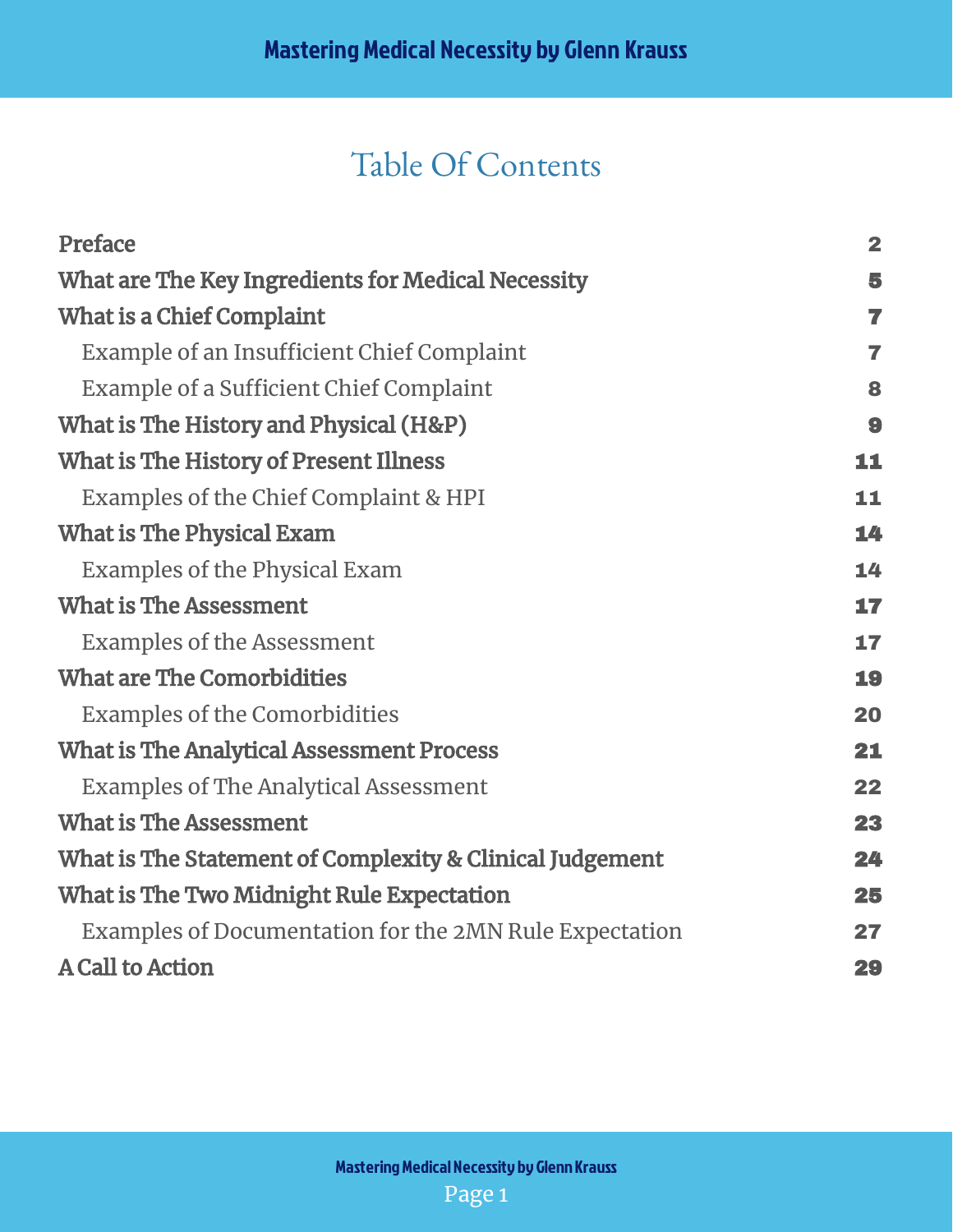## Table Of Contents

| Preface                                                  | $\overline{\mathbf{2}}$ |
|----------------------------------------------------------|-------------------------|
| What are The Key Ingredients for Medical Necessity       | 5                       |
| What is a Chief Complaint                                | $\overline{\mathbf{z}}$ |
| Example of an Insufficient Chief Complaint               | 7                       |
| Example of a Sufficient Chief Complaint                  | 8                       |
| What is The History and Physical (H&P)                   | 9                       |
| What is The History of Present Illness                   | 11                      |
| Examples of the Chief Complaint & HPI                    | 11                      |
| <b>What is The Physical Exam</b>                         | 14                      |
| <b>Examples of the Physical Exam</b>                     | 14                      |
| <b>What is The Assessment</b>                            | 17                      |
| <b>Examples of the Assessment</b>                        | 17                      |
| <b>What are The Comorbidities</b>                        | 19                      |
| <b>Examples of the Comorbidities</b>                     | 20                      |
| <b>What is The Analytical Assessment Process</b>         | 21                      |
| <b>Examples of The Analytical Assessment</b>             | 22                      |
| <b>What is The Assessment</b>                            | 23                      |
| What is The Statement of Complexity & Clinical Judgement | 24                      |
| What is The Two Midnight Rule Expectation                | 25                      |
| Examples of Documentation for the 2MN Rule Expectation   | 27                      |
| <b>A Call to Action</b>                                  | 29                      |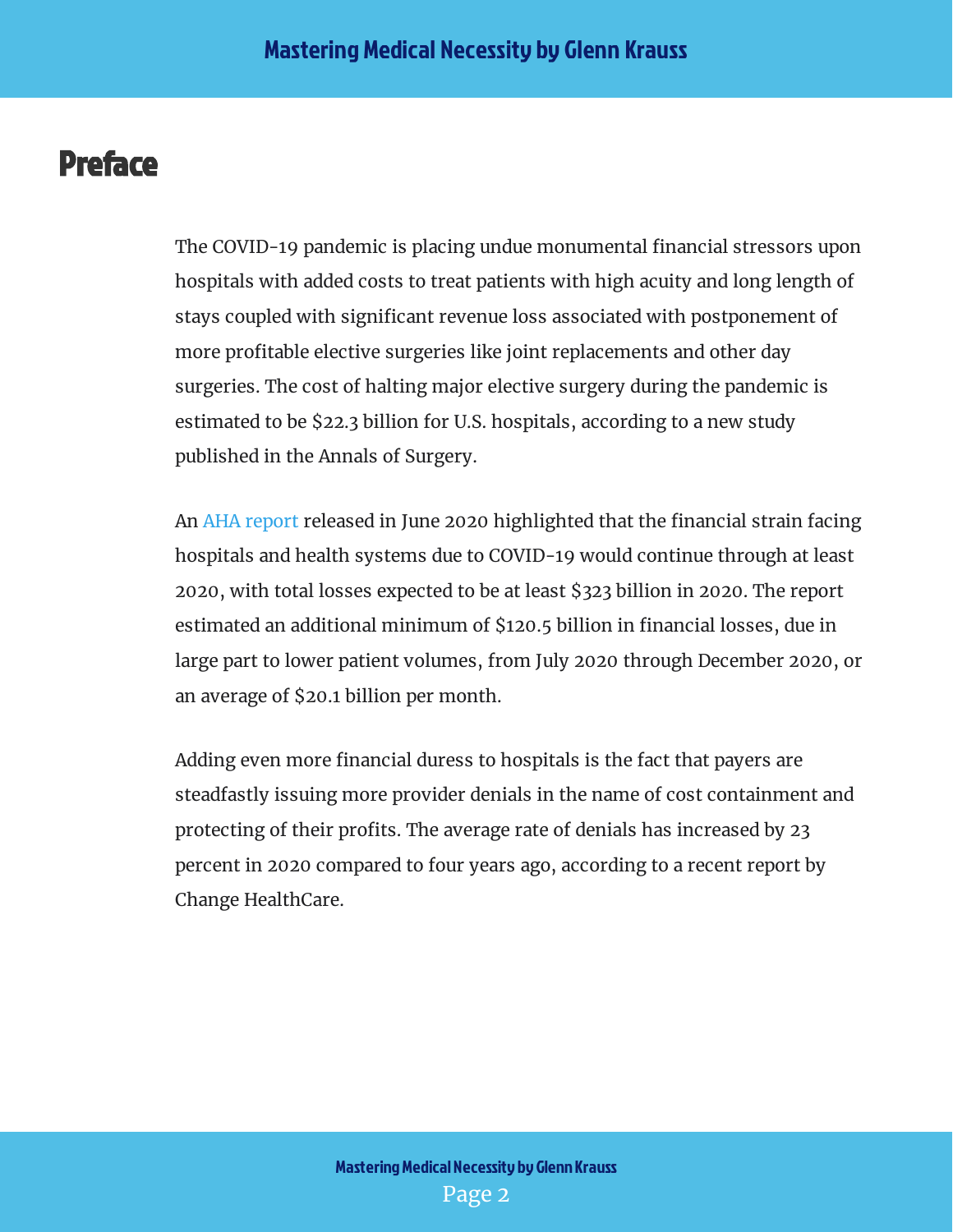## <span id="page-2-0"></span>Preface

The COVID-19 pandemic is placing undue monumental financial stressors upon hospitals with added costs to treat patients with high acuity and long length of stays coupled with significant revenue loss associated with postponement of more profitable elective surgeries like joint replacements and other day surgeries. The cost of halting major elective surgery during the pandemic is estimated to be \$22.3 billion for U.S. hospitals, according to a new study published in the Annals of Surgery.

AnAHA report released in June 2020 highlighted that the financial strain facing hospitals and health systems due to COVID-19 would continue through at least 2020, with total losses expected to be at least \$323 billion in 2020. The report estimated an additional minimum of \$120.5 billion in financial losses, due in large part to lower patient volumes, from July 2020 through December 2020, or an average of \$20.1 billion per month.

Adding even more financial duress to hospitals is the fact that payers are steadfastly issuing more provider denials in the name of cost containment and protecting of their profits. The average rate of denials has increased by 23 percent in 2020 compared to four years ago, according to a recent report by Change HealthCare.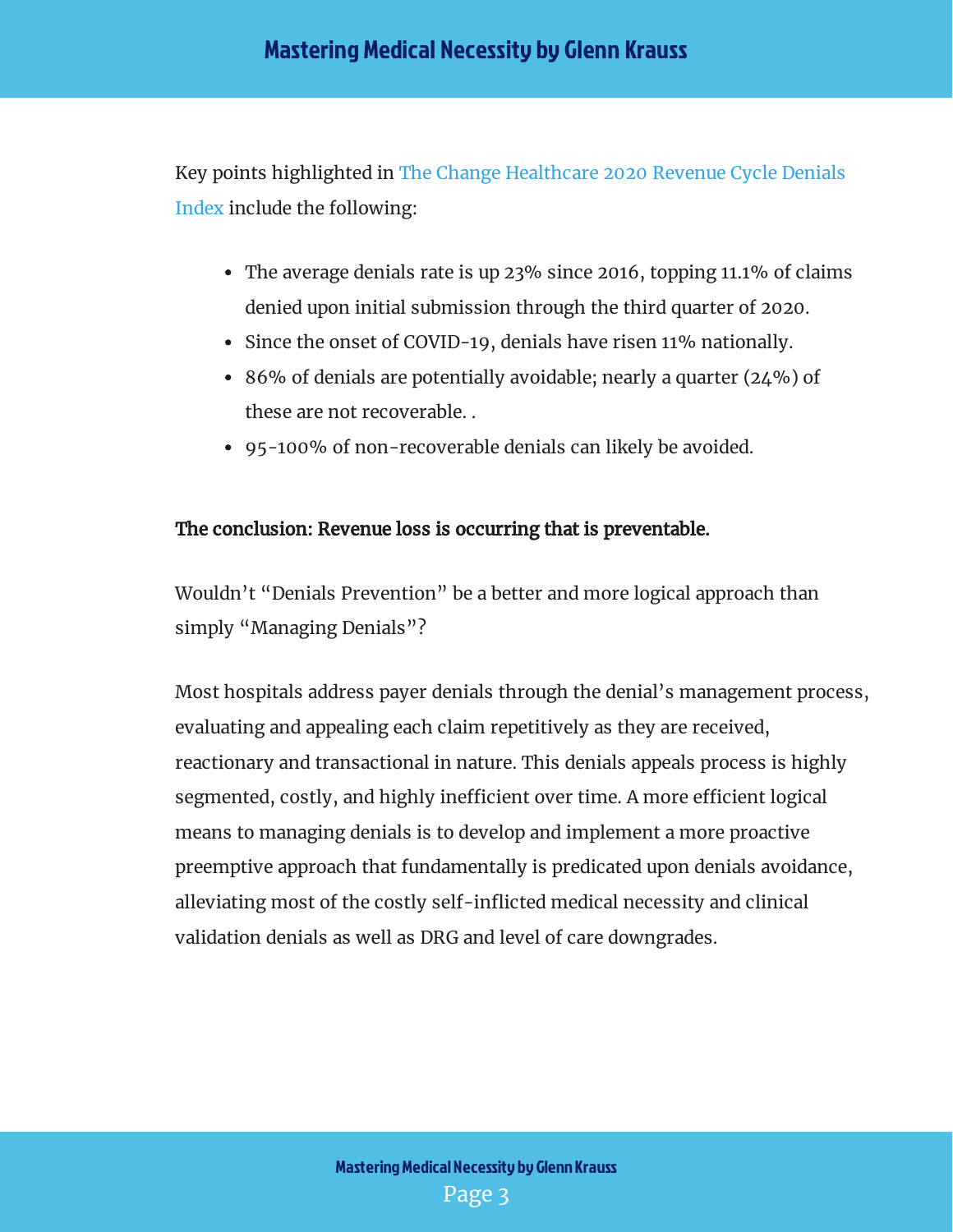Key points highlighted in [The Change Healthcare 2020 Revenue Cycle Denials](https://www.changehealthcare.com/insights/denials-index) Index include the following:

- The average denials rate is up 23% since 2016, topping 11.1% of claims denied upon initial submission through the third quarter of 2020.
- Since the onset of COVID-19, denials have risen 11% nationally.
- 86% of denials are potentially avoidable; nearly a quarter (24%) of these are not recoverable. .
- 95-100% of non-recoverable denials can likely be avoided.

#### The conclusion: Revenue loss is occurring that is preventable.

Wouldn't "Denials Prevention" be a better and more logical approach than simply "Managing Denials"?

Most hospitals address payer denials through the denial's management process, evaluating and appealing each claim repetitively as they are received, reactionary and transactional in nature. This denials appeals process is highly segmented, costly, and highly inefficient over time. A more efficient logical means to managing denials is to develop and implement a more proactive preemptive approach that fundamentally is predicated upon denials avoidance, alleviating most of the costly self-inflicted medical necessity and clinical validation denials as well as DRG and level of care downgrades.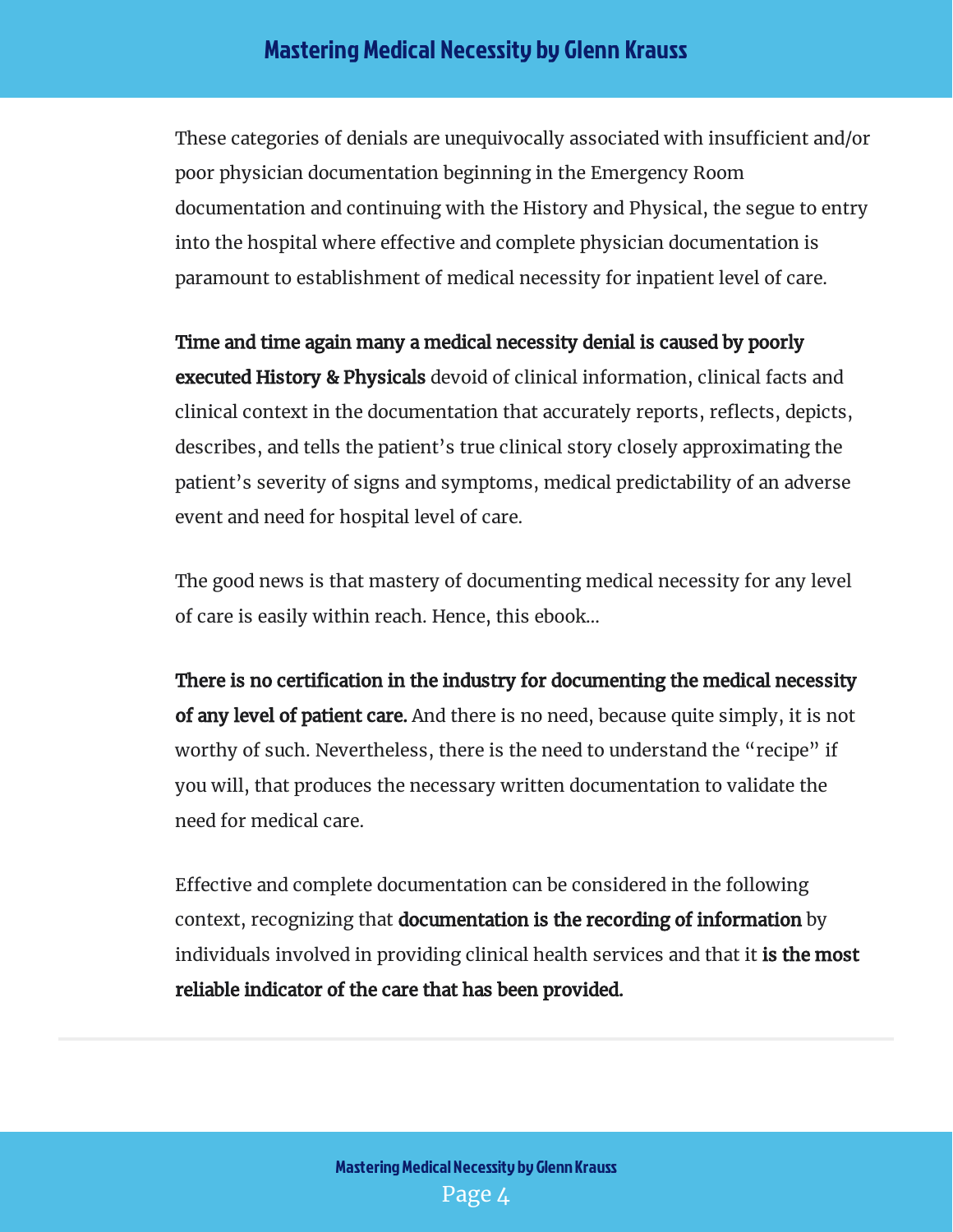These categories of denials are unequivocally associated with insufficient and/or poor physician documentation beginning in the Emergency Room documentation and continuing with the History and Physical, the segue to entry into the hospital where effective and complete physician documentation is paramount to establishment of medical necessity for inpatient level of care.

**executed History & Physicals** devoid of clinical information, clinical facts and clinical context in the documentation that accurately reports, reflects, depicts, describes, and tells the patient's true clinical story closely approximating the patient's severity of signs and symptoms, medical predictability of an adverse event and need for hospital level of care. Time and time again many a medical necessity denial is caused by poorly

The good news is that mastery of documenting medical necessity for any level of care is easily within reach. Hence, this ebook…

**of any level of patient care.** And there is no need, because quite simply, it is not worthy of such. Nevertheless, there is the need to understand the "recipe" if you will, that produces the necessary written documentation to validate the need for medical care. There is no certification in the industry for documenting the medical necessity

Effective and complete documentation can be considered in the following context, recognizing that **documentation is the recording of information** by individuals involved in providing clinical health services and that it **is the most** reliable indicator of the care that has been provided.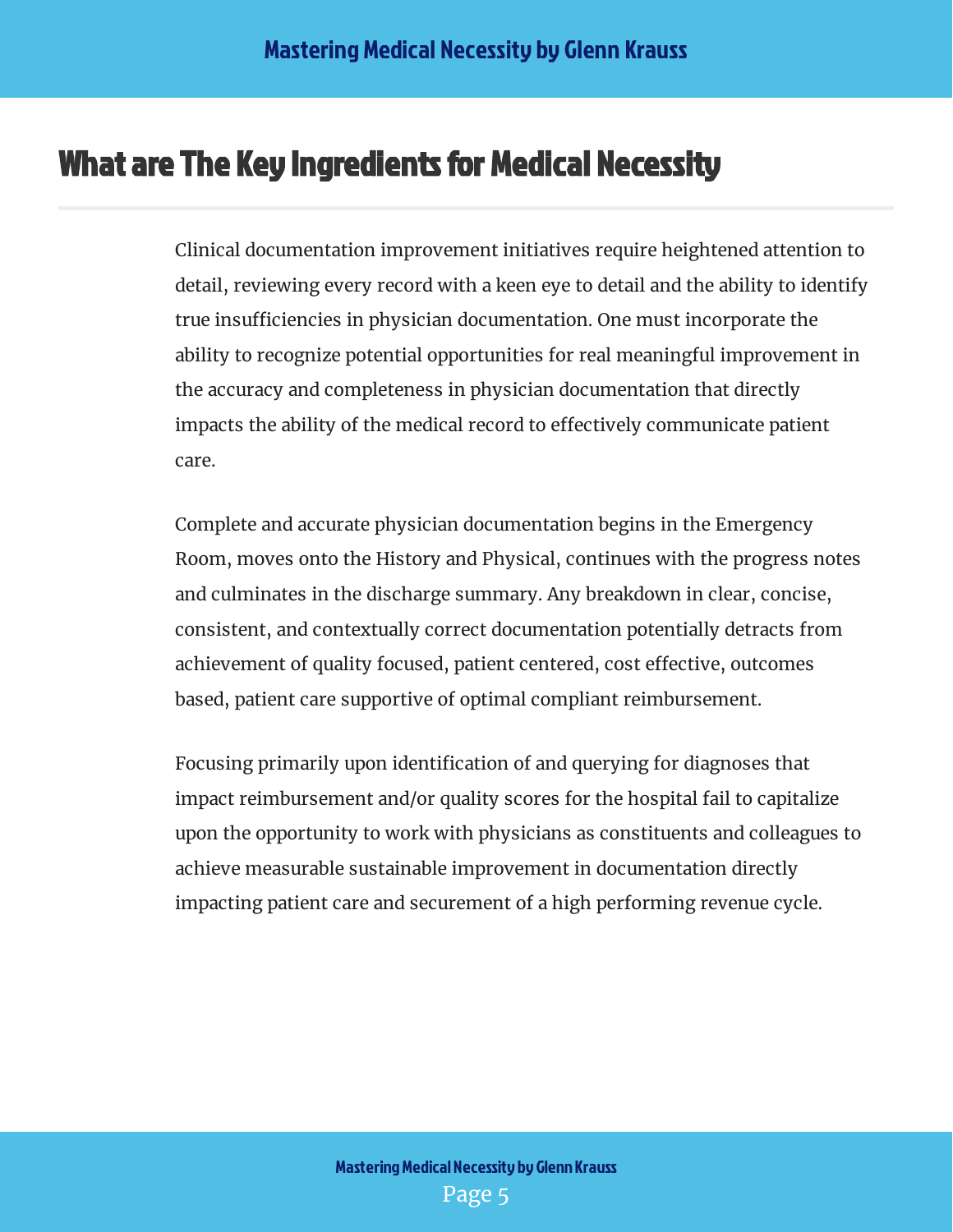## <span id="page-5-0"></span>What are The Key Ingredients for Medical Necessity

Clinical documentation improvement initiatives require heightened attention to detail, reviewing every record with a keen eye to detail and the ability to identify true insufficiencies in physician documentation. One must incorporate the ability to recognize potential opportunities for real meaningful improvement in the accuracy and completeness in physician documentation that directly impacts the ability of the medical record to effectively communicate patient care.

Complete and accurate physician documentation begins in the Emergency Room, moves onto the History and Physical, continues with the progress notes and culminates in the discharge summary. Any breakdown in clear, concise, consistent, and contextually correct documentation potentially detracts from achievement of quality focused, patient centered, cost effective, outcomes based, patient care supportive of optimal compliant reimbursement.

Focusing primarily upon identification of and querying for diagnoses that impact reimbursement and/or quality scores for the hospital fail to capitalize upon the opportunity to work with physicians as constituents and colleagues to achieve measurable sustainable improvement in documentation directly impacting patient care and securement of a high performing revenue cycle.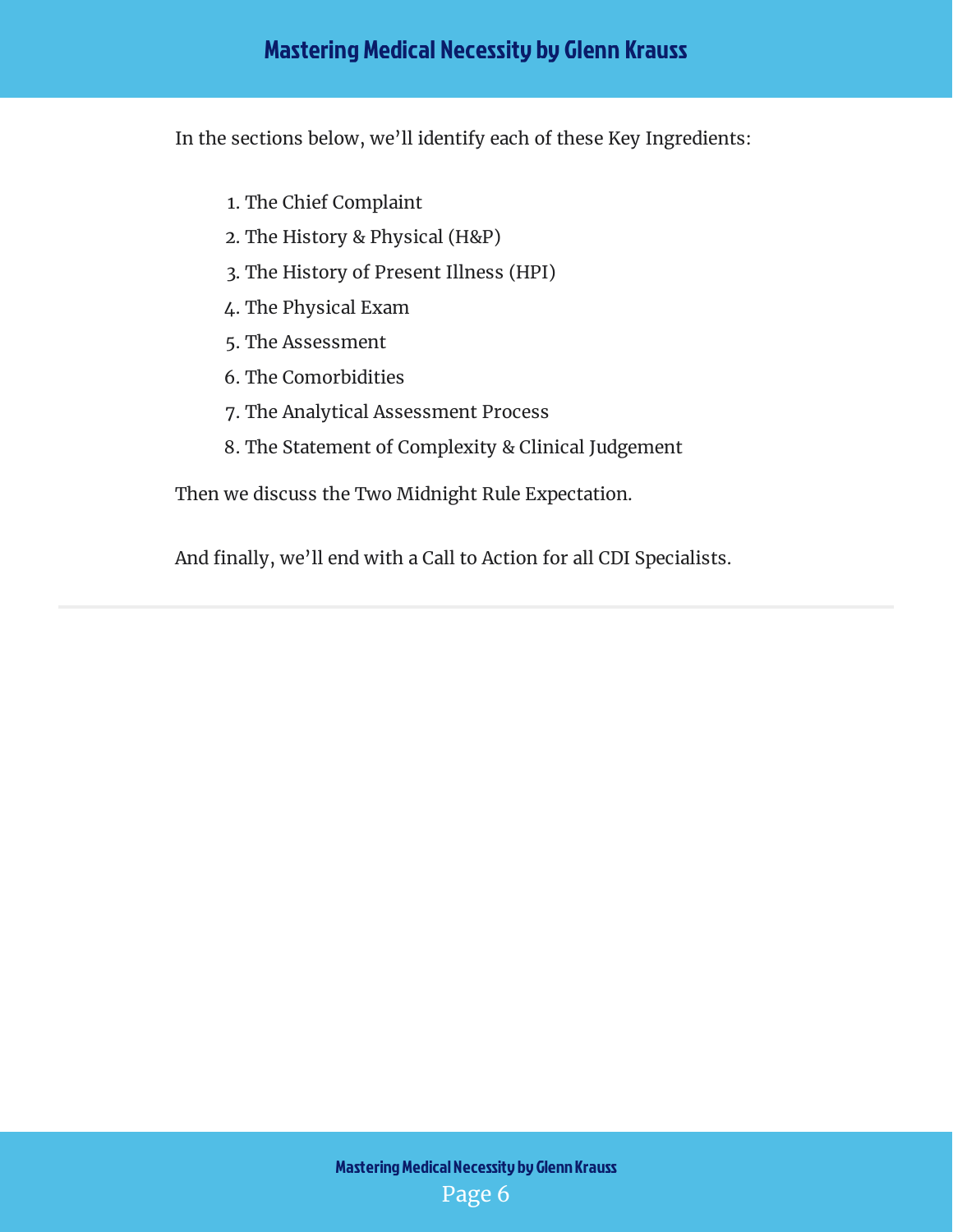In the sections below, we'll identify each of these Key Ingredients:

- 1. The Chief Complaint
- 2. The History & Physical (H&P)
- 3. The History of Present Illness (HPI)
- 4. The Physical Exam
- 5. The Assessment
- 6. The Comorbidities
- 7. The Analytical Assessment Process
- 8. The Statement of Complexity & Clinical Judgement

Then we discuss the Two Midnight Rule Expectation.

And finally, we'll end with a Call to Action for all CDI Specialists.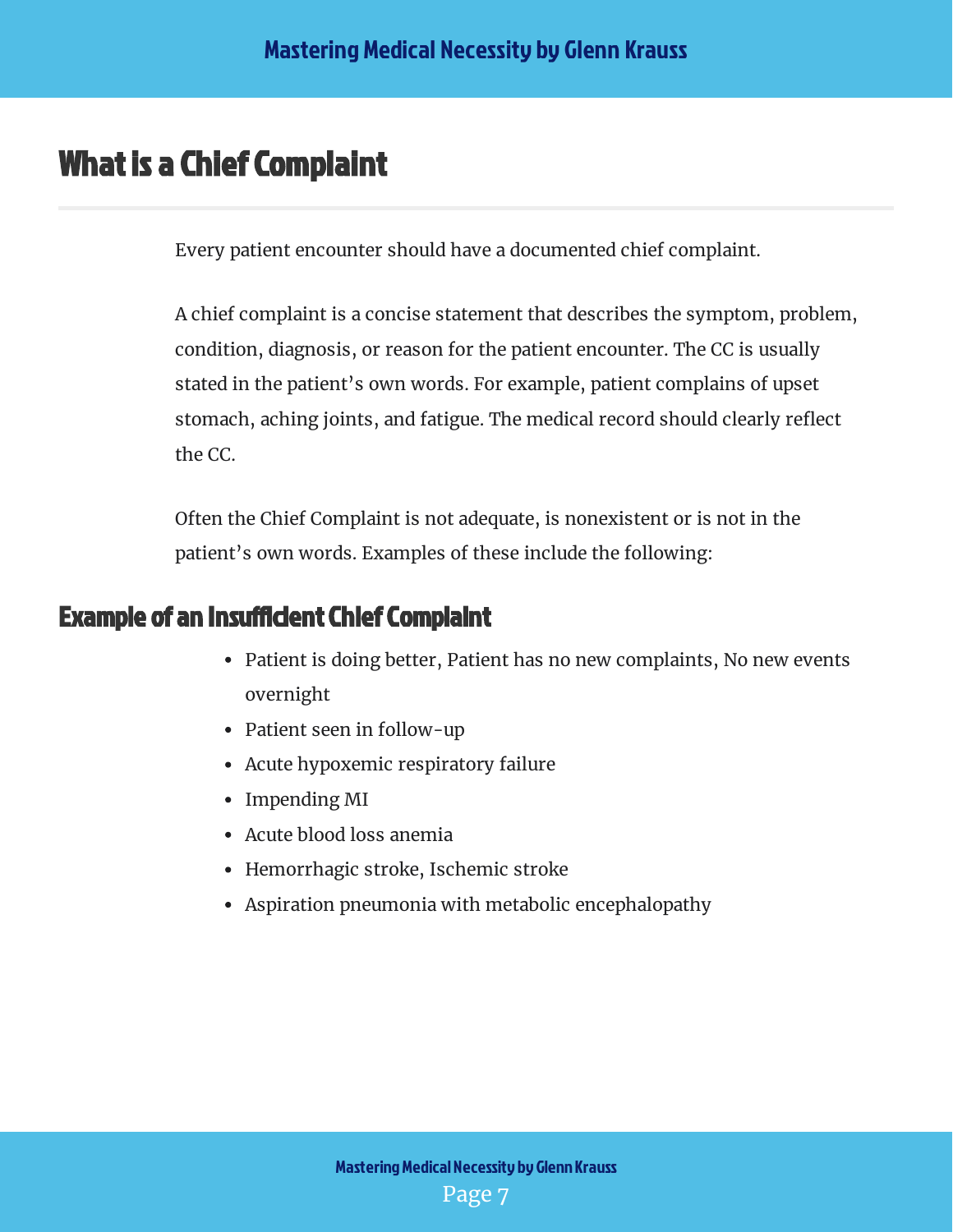## <span id="page-7-0"></span>What is a Chief Complaint

Every patient encounter should have a documented chief complaint.

A chief complaint is a concise statement that describes the symptom, problem, condition, diagnosis, or reason for the patient encounter. The CC is usually stated in the patient's own words. For example, patient complains of upset stomach, aching joints, and fatigue. The medical record should clearly reflect the CC.

Often the Chief Complaint is not adequate, is nonexistent or is not in the patient's own words. Examples of these include the following:

#### <span id="page-7-1"></span>**Example of an Insufficient Chief Complaint**

- Patient is doing better, Patient has no new complaints, No new events overnight
- Patient seen in follow-up
- Acute hypoxemic respiratory failure
- Impending MI
- Acute blood loss anemia
- Hemorrhagic stroke, Ischemic stroke
- Aspiration pneumonia with metabolic encephalopathy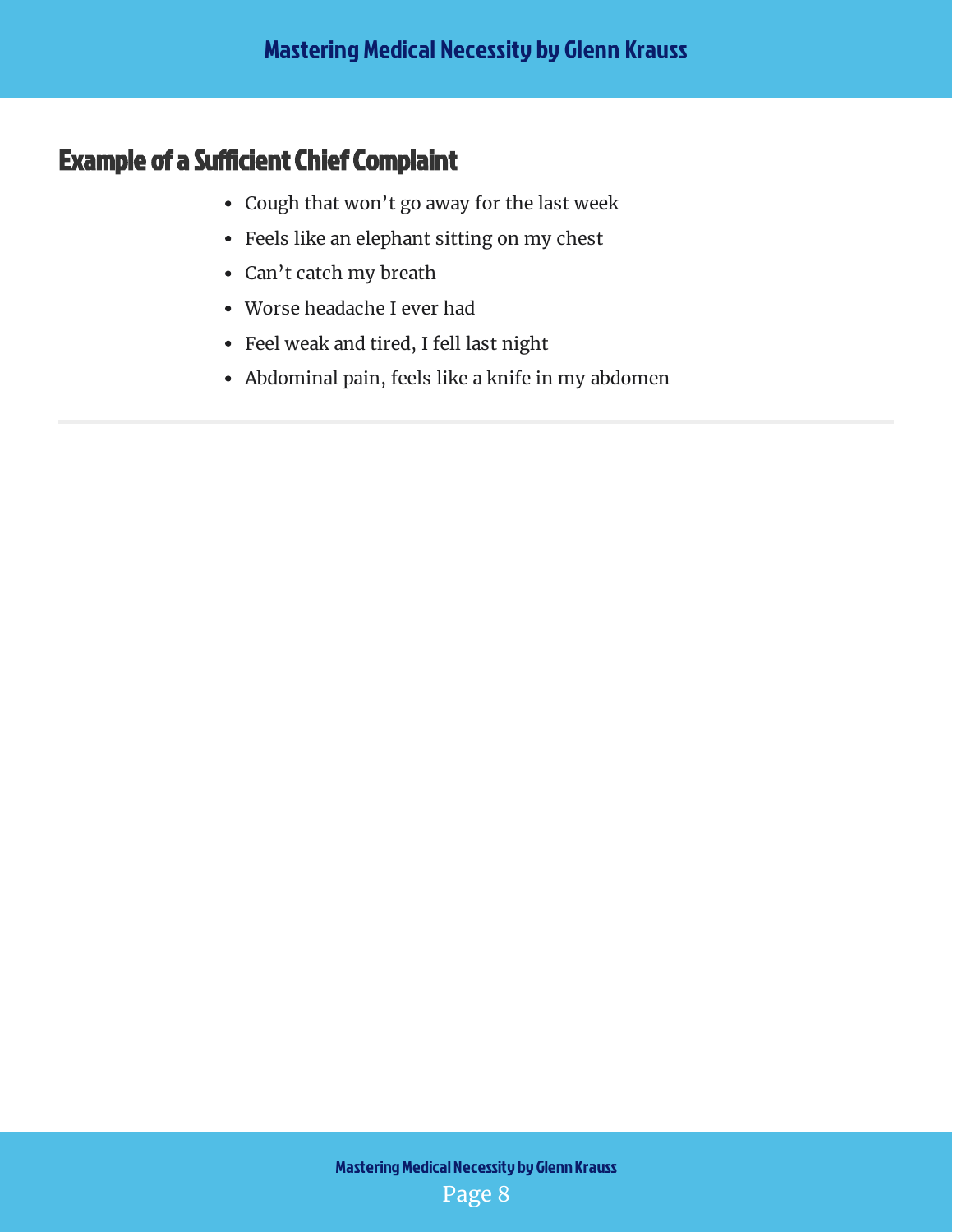### <span id="page-8-0"></span>**Example of a Sufficient Chief Complaint**

- Cough that won't go away for the last week
- Feels like an elephant sitting on my chest
- Can't catch my breath
- Worse headache I ever had
- Feel weak and tired, I fell last night
- Abdominal pain, feels like a knife in my abdomen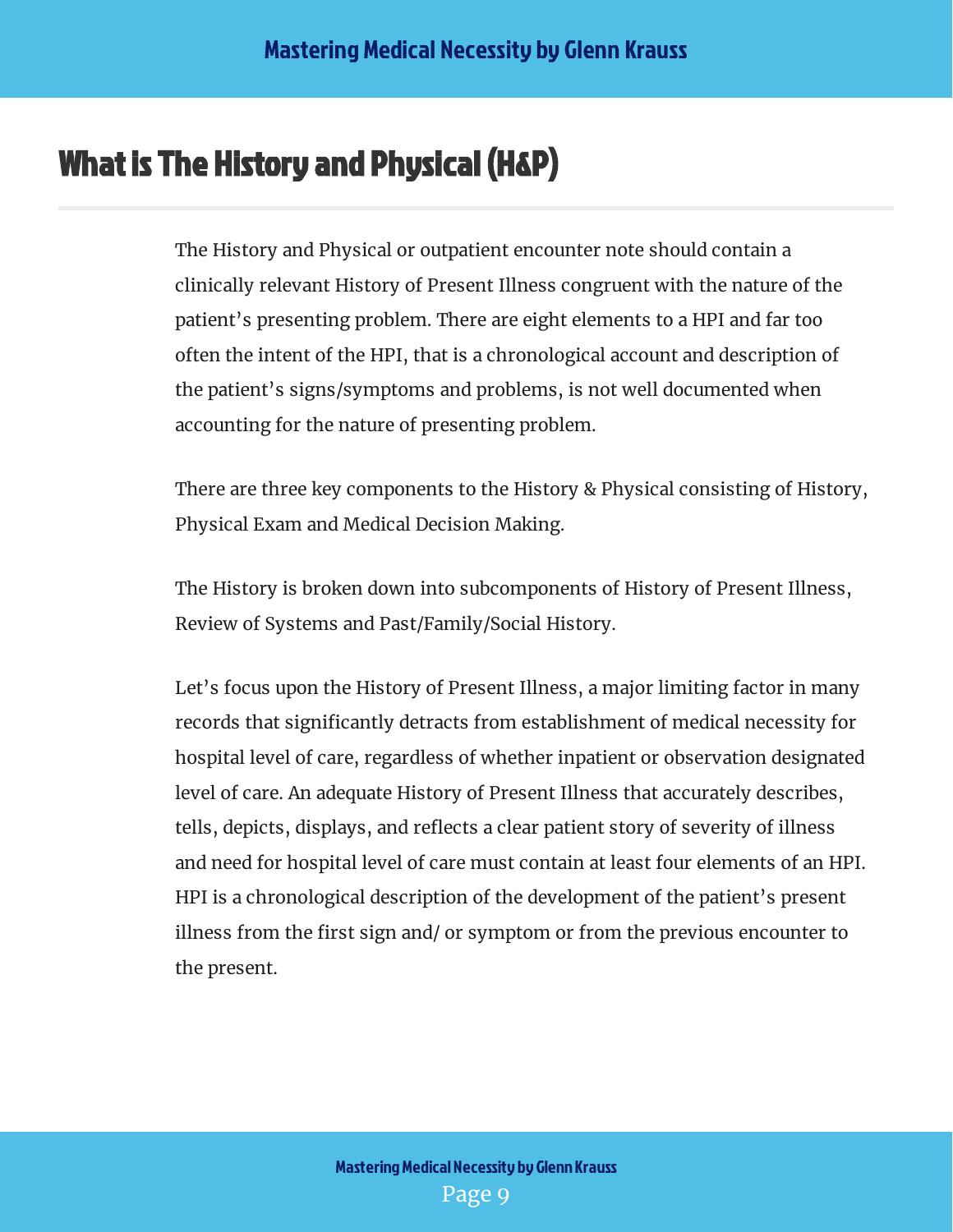## <span id="page-9-0"></span>What is The History and Physical (H&P)

The History and Physical or outpatient encounter note should contain a clinically relevant History of Present Illness congruent with the nature of the patient's presenting problem. There are eight elements to a HPI and far too often the intent of the HPI, that is a chronological account and description of the patient's signs/symptoms and problems, is not well documented when accounting for the nature of presenting problem.

There are three key components to the History & Physical consisting of History, Physical Exam and Medical Decision Making.

The History is broken down into subcomponents of History of Present Illness, Review of Systems and Past/Family/Social History.

Let's focus upon the History of Present Illness, a major limiting factor in many records that significantly detracts from establishment of medical necessity for hospital level of care, regardless of whether inpatient or observation designated level of care. An adequate History of Present Illness that accurately describes, tells, depicts, displays, and reflects a clear patient story of severity of illness and need for hospital level of care must contain at least four elements of an HPI. HPI is a chronological description of the development of the patient's present illness from the first sign and/ or symptom or from the previous encounter to the present.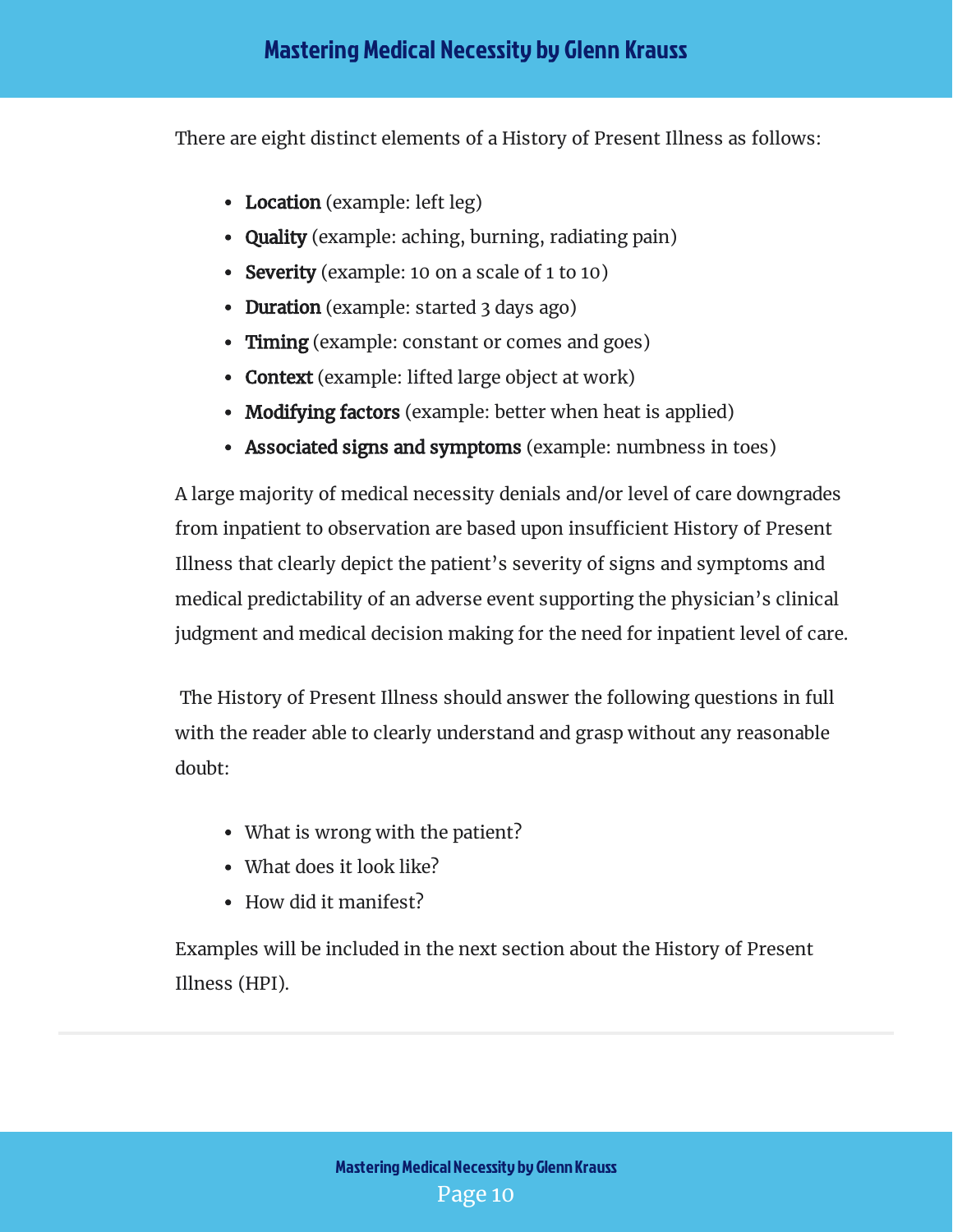There are eight distinct elements of a History of Present Illness as follows:

- Location (example: left leg)
- Quality (example: aching, burning, radiating pain)
- Severity (example: 10 on a scale of 1 to 10)
- Duration (example: started 3 days ago)
- Timing (example: constant or comes and goes)
- Context (example: lifted large object at work)
- Modifying factors (example: better when heat is applied)
- Associated signs and symptoms (example: numbness in toes)

A large majority of medical necessity denials and/or level of care downgrades from inpatient to observation are based upon insufficient History of Present Illness that clearly depict the patient's severity of signs and symptoms and medical predictability of an adverse event supporting the physician's clinical judgment and medical decision making for the need for inpatient level of care.

 The History of Present Illness should answer the following questions in full with the reader able to clearly understand and grasp without any reasonable doubt:

- What is wrong with the patient?
- What does it look like?
- How did it manifest?

Examples will be included in the next section about the History of Present Illness (HPI).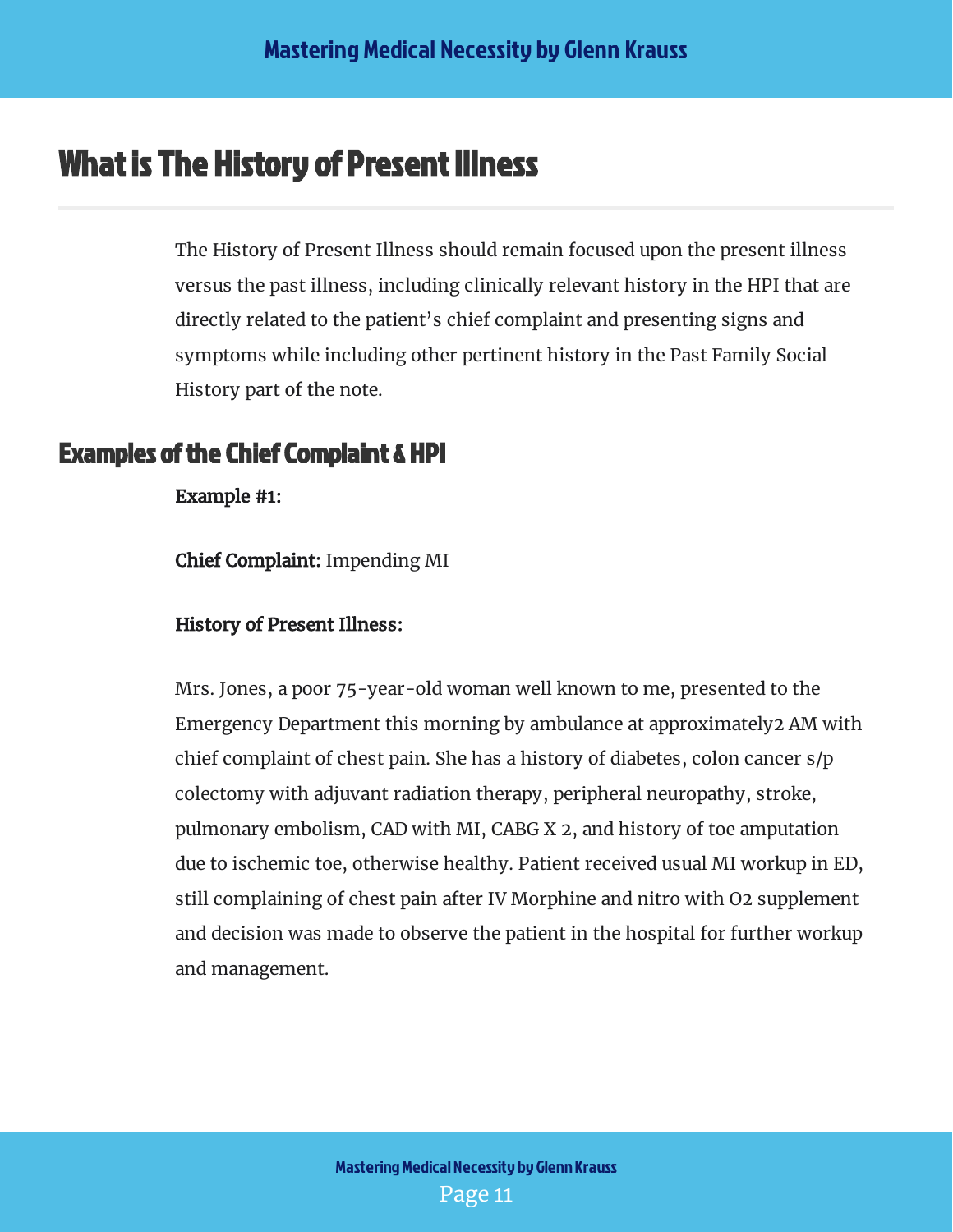## <span id="page-11-0"></span>What is The History of Present Illness

The History of Present Illness should remain focused upon the present illness versus the past illness, including clinically relevant history in the HPI that are directly related to the patient's chief complaint and presenting signs and symptoms while including other pertinent history in the Past Family Social History part of the note.

#### <span id="page-11-1"></span>Examples of the Chief Complaint & HPI

Example #1:

Chief Complaint: Impending MI

History of Present Illness:

Mrs. Jones, a poor 75-year-old woman well known to me, presented to the Emergency Department this morning by ambulance at approximately2 AM with chief complaint of chest pain. She has a history of diabetes, colon cancer s/p colectomy with adjuvant radiation therapy, peripheral neuropathy, stroke, pulmonary embolism, CAD with MI, CABG X 2, and history of toe amputation due to ischemic toe, otherwise healthy. Patient received usual MI workup in ED, still complaining of chest pain after IV Morphine and nitro with O2 supplement and decision was made to observe the patient in the hospital for further workup and management.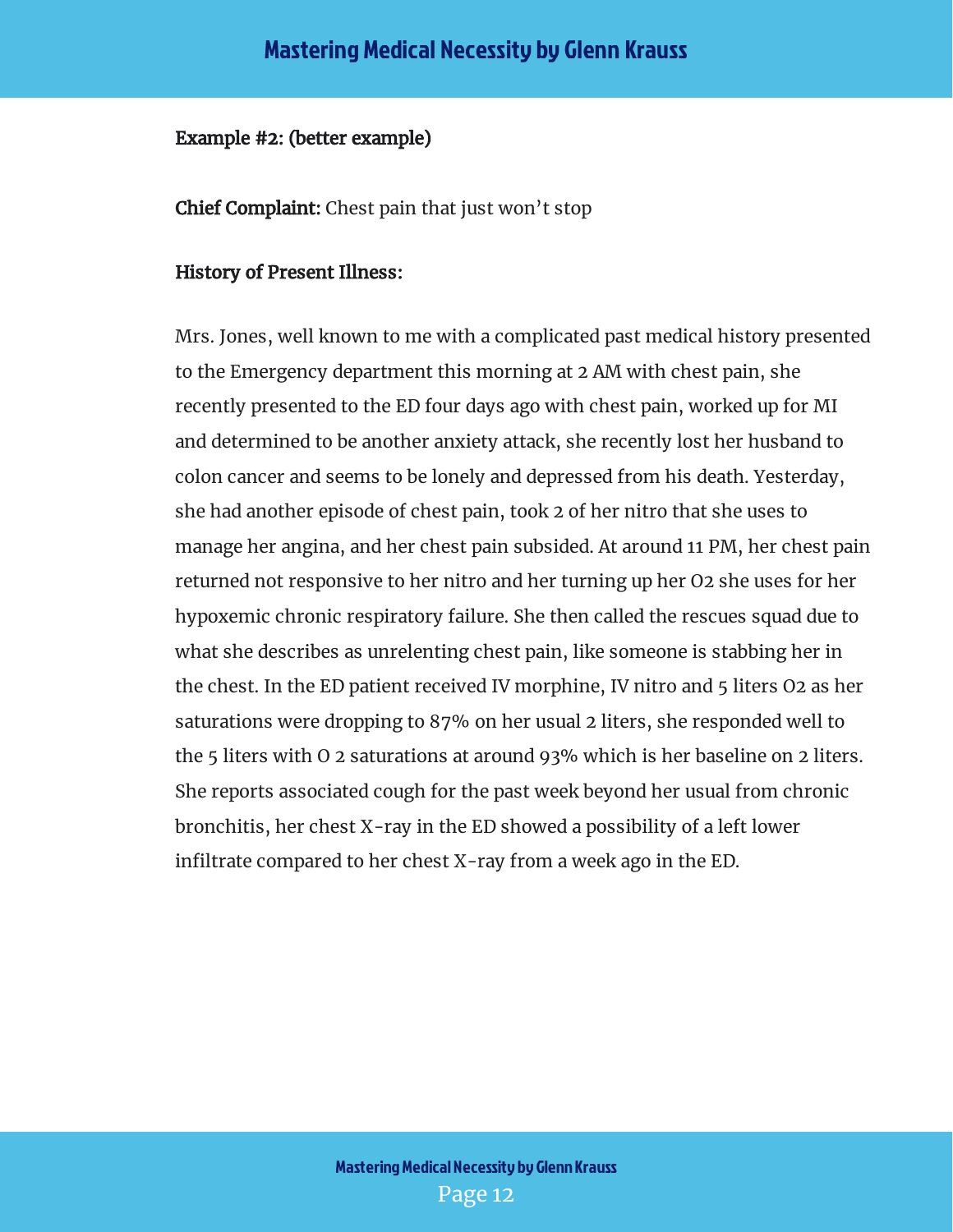#### Example #2: (better example)

**Chief Complaint:** Chest pain that just won't stop

#### History of Present Illness:

Mrs. Jones, well known to me with a complicated past medical history presented to the Emergency department this morning at 2 AM with chest pain, she recently presented to the ED four days ago with chest pain, worked up for MI and determined to be another anxiety attack, she recently lost her husband to colon cancer and seems to be lonely and depressed from his death. Yesterday, she had another episode of chest pain, took 2 of her nitro that she uses to manage her angina, and her chest pain subsided. At around 11 PM, her chest pain returned not responsive to her nitro and her turning up her O2 she uses for her hypoxemic chronic respiratory failure. She then called the rescues squad due to what she describes as unrelenting chest pain, like someone is stabbing her in the chest. In the ED patient received IV morphine, IV nitro and 5 liters O2 as her saturations were dropping to 87% on her usual 2 liters, she responded well to the 5 liters with O 2 saturations at around 93% which is her baseline on 2 liters. She reports associated cough for the past week beyond her usual from chronic bronchitis, her chest X-ray in the ED showed a possibility of a left lower infiltrate compared to her chest  $X$ -ray from a week ago in the ED.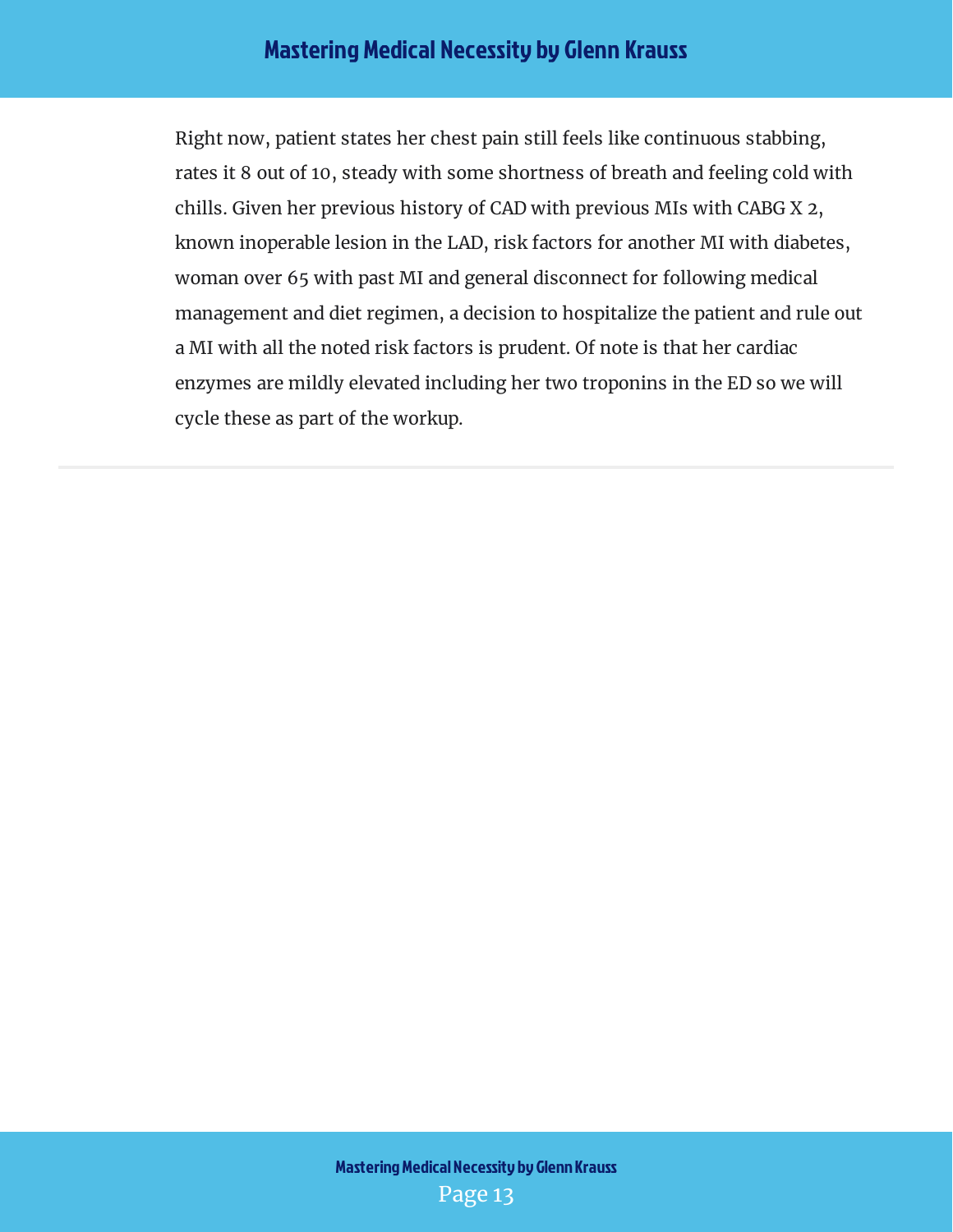Right now, patient states her chest pain still feels like continuous stabbing, rates it 8 out of 10, steady with some shortness of breath and feeling cold with chills. Given her previous history of CAD with previous MIs with CABG X 2, known inoperable lesion in the LAD, risk factors for another MI with diabetes, woman over 65 with past MI and general disconnect for following medical management and diet regimen, a decision to hospitalize the patient and rule out a MI with all the noted risk factors is prudent. Of note is that her cardiac enzymes are mildly elevated including her two troponins in the ED so we will cycle these as part of the workup.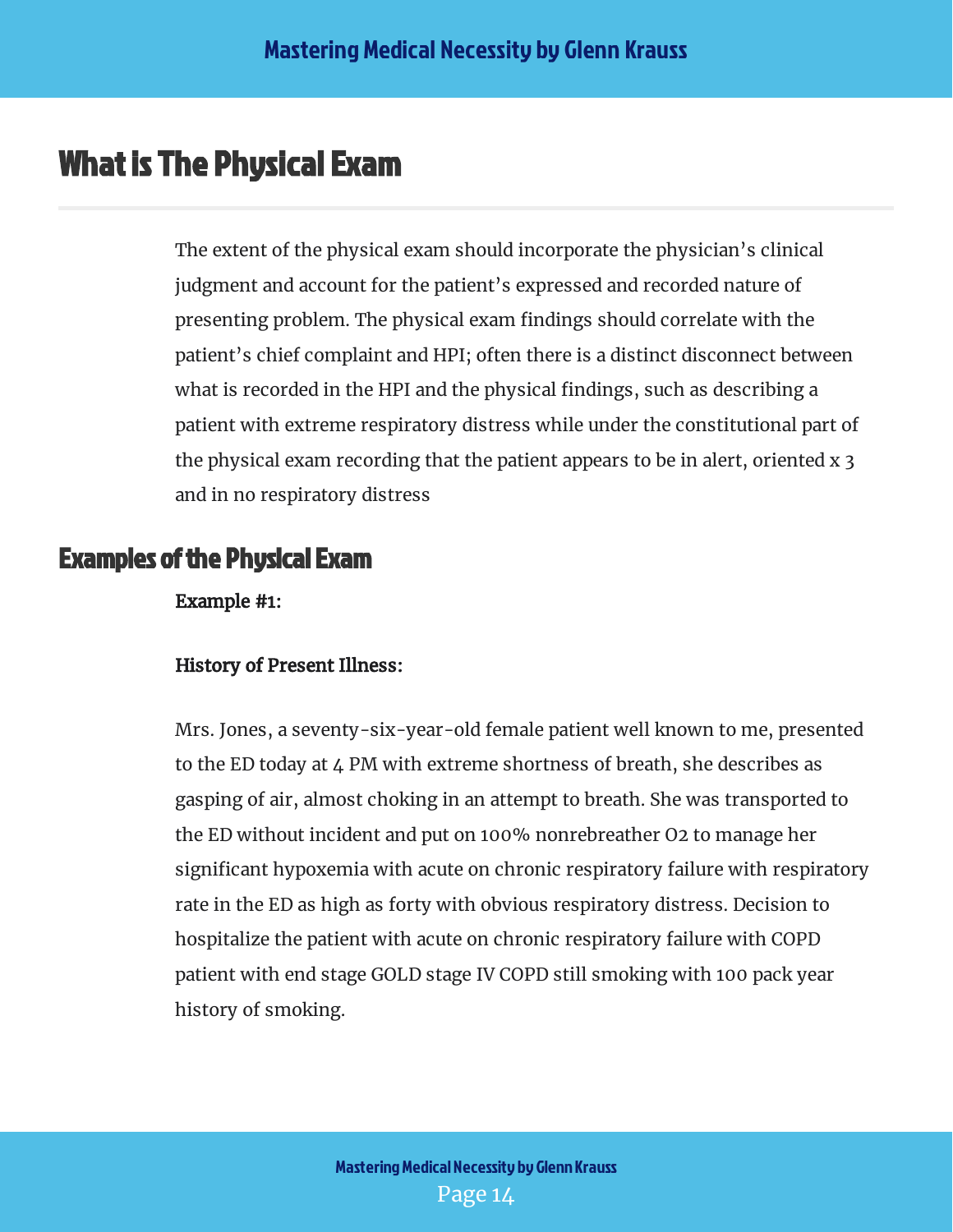## <span id="page-14-0"></span>What is The Physical Exam

The extent of the physical exam should incorporate the physician's clinical judgment and account for the patient's expressed and recorded nature of presenting problem. The physical exam findings should correlate with the patient's chief complaint and HPI; often there is a distinct disconnect between what is recorded in the HPI and the physical findings, such as describing a patient with extreme respiratory distress while under the constitutional part of the physical exam recording that the patient appears to be in alert, oriented x 3 and in no respiratory distress

#### <span id="page-14-1"></span>Examples of the Physical Exam

Example #1:

#### History of Present Illness:

Mrs. Jones, a seventy-six-year-old female patient well known to me, presented to the ED today at 4 PM with extreme shortness of breath, she describes as gasping of air, almost choking in an attempt to breath. She was transported to the ED without incident and put on 100% nonrebreather O2 to manage her significant hypoxemia with acute on chronic respiratory failure with respiratory rate in the ED as high as forty with obvious respiratory distress. Decision to hospitalize the patient with acute on chronic respiratory failure with COPD patient with end stage GOLD stage IV COPD still smoking with 100 pack year history of smoking.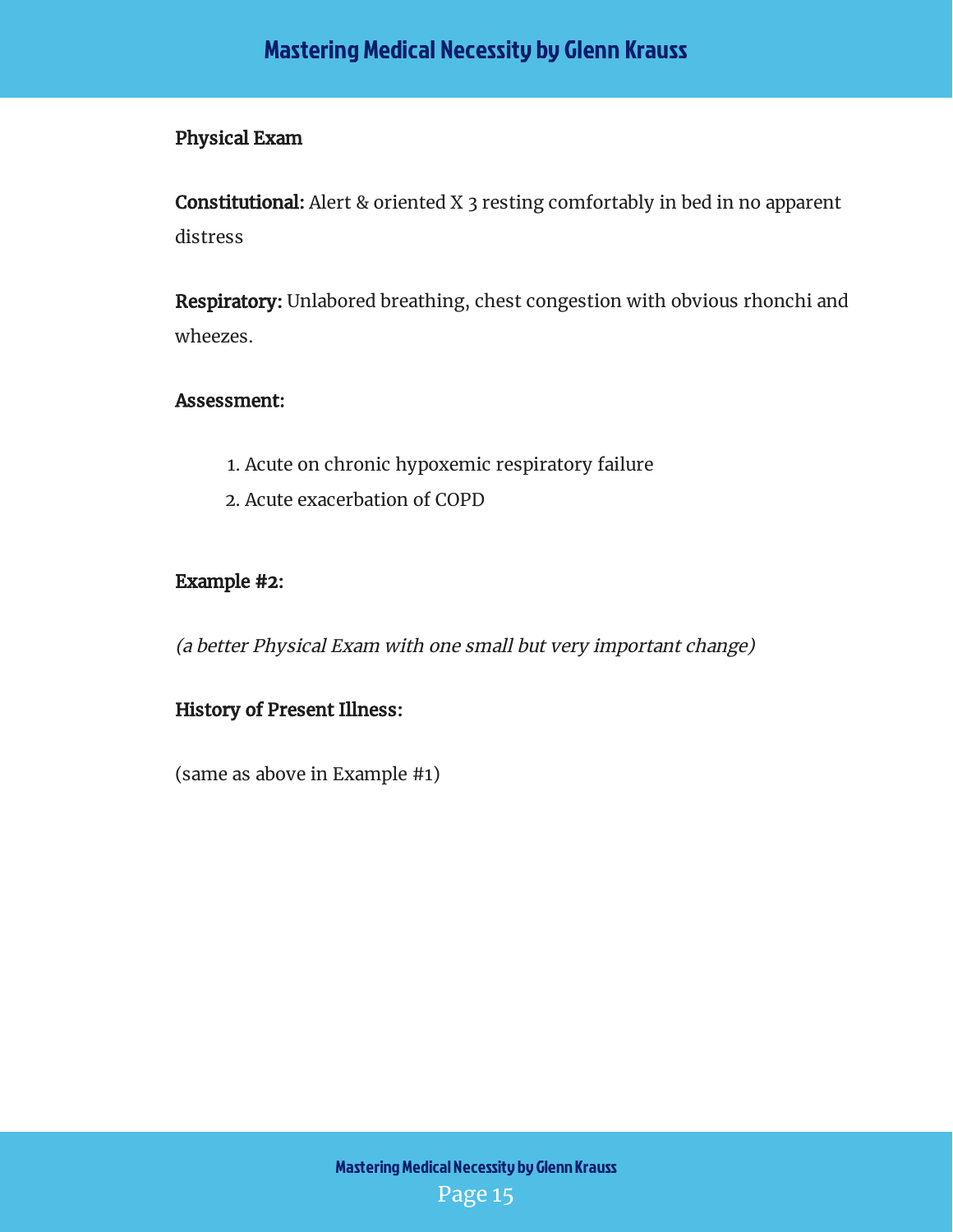#### Physical Exam

**Constitutional:** Alert & oriented X 3 resting comfortably in bed in no apparent distress

**Respiratory:** Unlabored breathing, chest congestion with obvious rhonchi and wheezes.

#### Assessment:

- 1. Acute on chronic hypoxemic respiratory failure
- 2. Acute exacerbation of COPD

#### Example #2:

(a better Physical Exam with one small but very important change)

#### History of Present Illness:

(same as above in Example #1)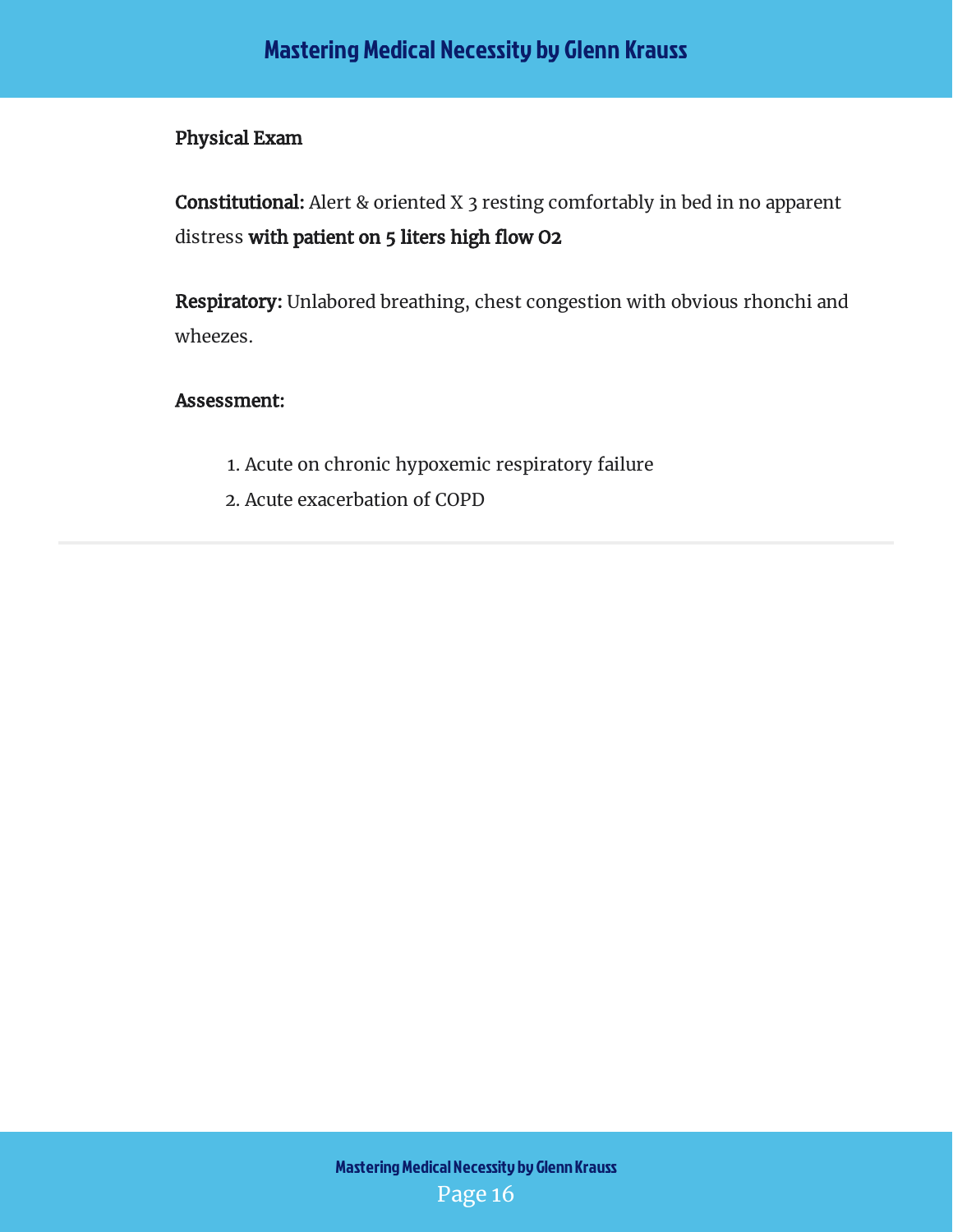#### Physical Exam

**Constitutional:** Alert & oriented X 3 resting comfortably in bed in no apparent distress **with patient on 5 liters high flow O2** 

**Respiratory:** Unlabored breathing, chest congestion with obvious rhonchi and wheezes.

#### Assessment:

- 1. Acute on chronic hypoxemic respiratory failure
- 2. Acute exacerbation of COPD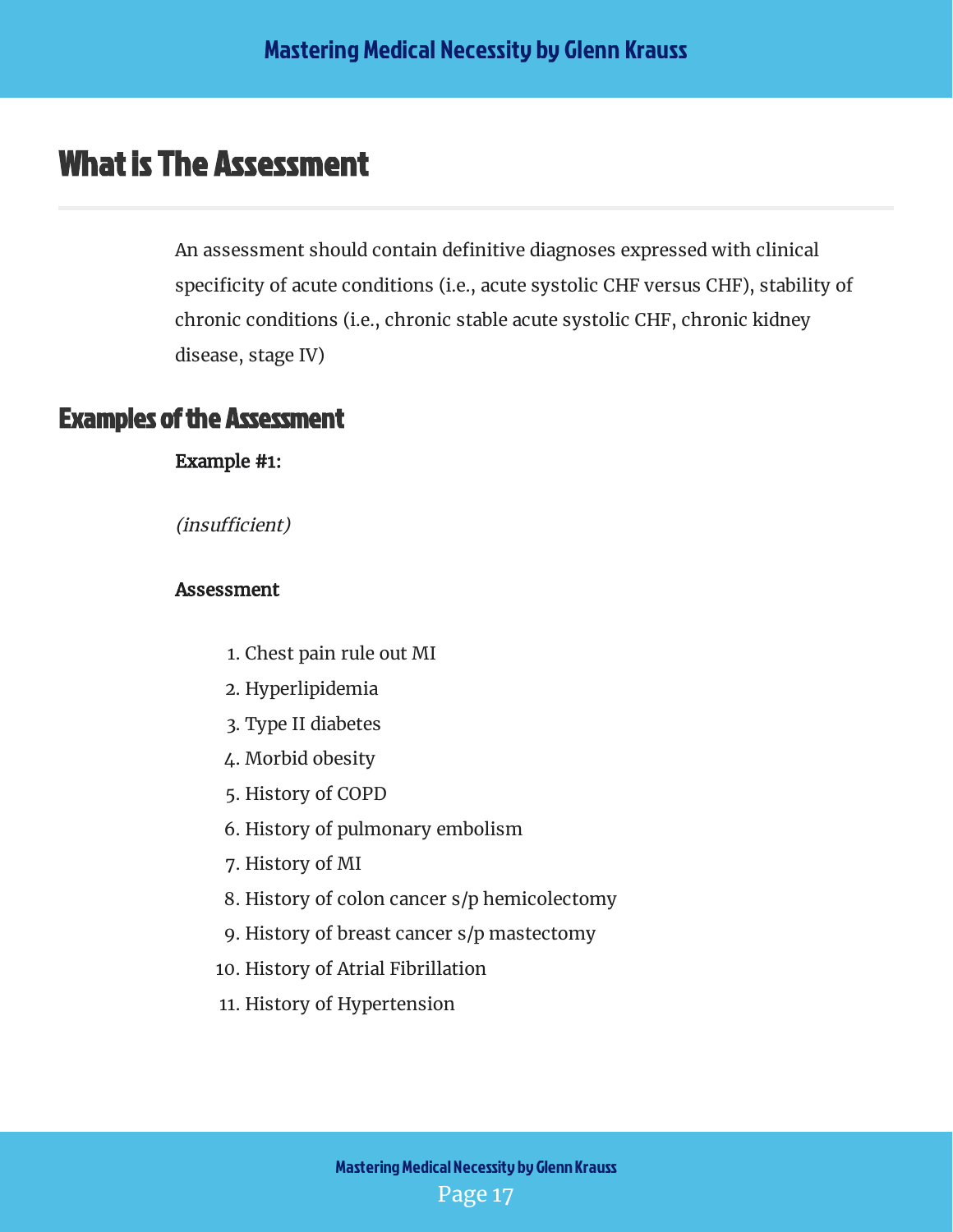## <span id="page-17-0"></span>What is The Assessment

An assessment should contain definitive diagnoses expressed with clinical specificity of acute conditions (i.e., acute systolic CHF versus CHF), stability of chronic conditions (i.e., chronic stable acute systolic CHF, chronic kidney disease, stage IV)

#### <span id="page-17-1"></span>Examples of the Assessment

Example #1:

(*insufficient*)

#### Assessment

- 1. Chest pain rule out MI
- 2. Hyperlipidemia
- 3. Type II diabetes
- 4. Morbid obesity
- 5. History of COPD
- 6. History of pulmonary embolism
- 7. History of MI
- 8. History of colon cancer s/p hemicolectomy
- 9. History of breast cancer s/p mastectomy
- 10. History of Atrial Fibrillation
- 11. History of Hypertension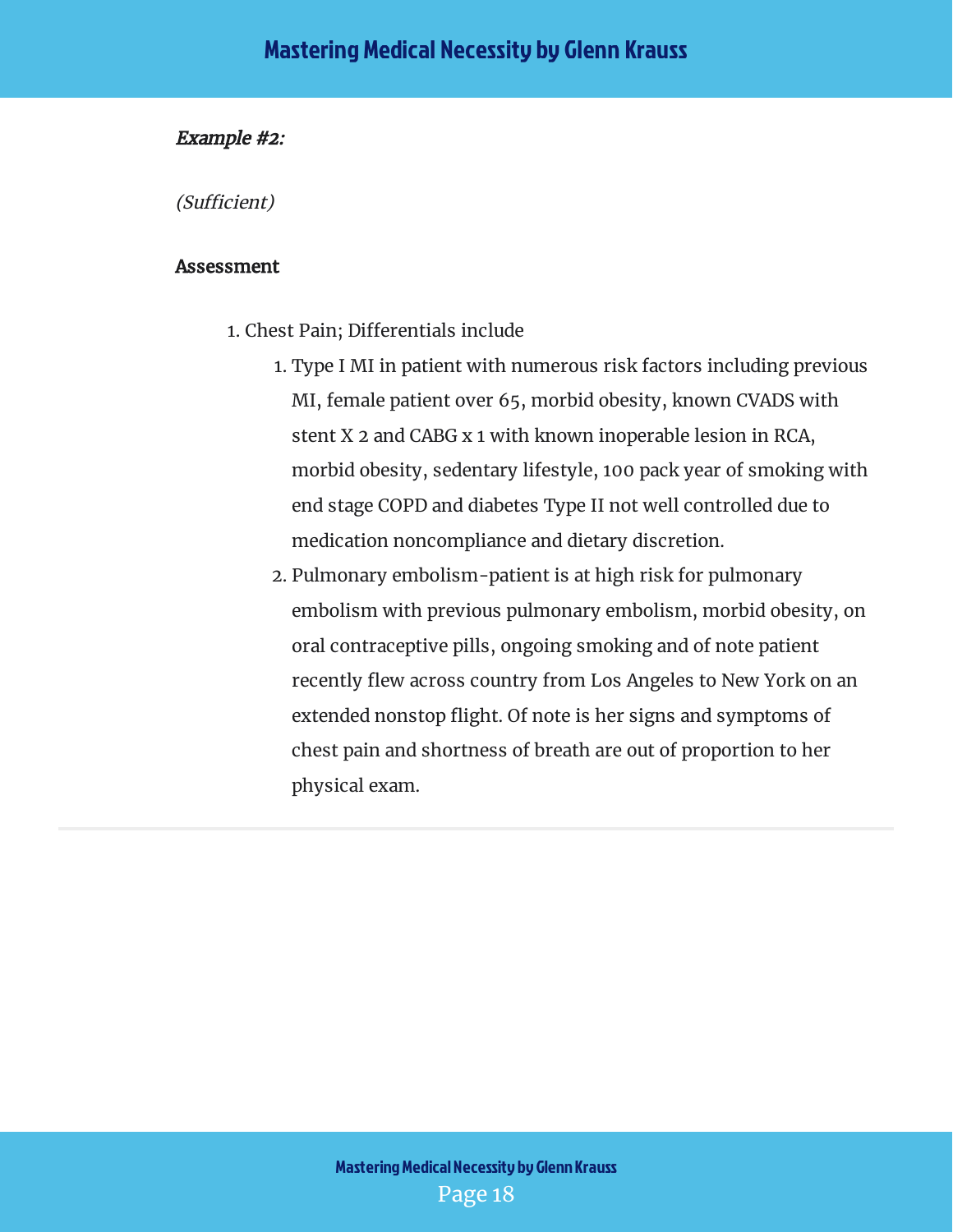#### Example #2:

(Sufficient)

#### Assessment

- 1. Chest Pain; Differentials include
	- 1. Type I MI in patient with numerous risk factors including previous MI, female patient over 65, morbid obesity, known CVADS with stent X 2 and CABG x 1 with known inoperable lesion in RCA, morbid obesity, sedentary lifestyle, 100 pack year of smoking with end stage COPD and diabetes Type II not well controlled due to medication noncompliance and dietary discretion.
	- 2. Pulmonary embolism-patient is at high risk for pulmonary embolism with previous pulmonary embolism, morbid obesity, on oral contraceptive pills, ongoing smoking and of note patient recently flew across country from Los Angeles to New York on an extended nonstop flight. Of note is her signs and symptoms of chest pain and shortness of breath are out of proportion to her physical exam.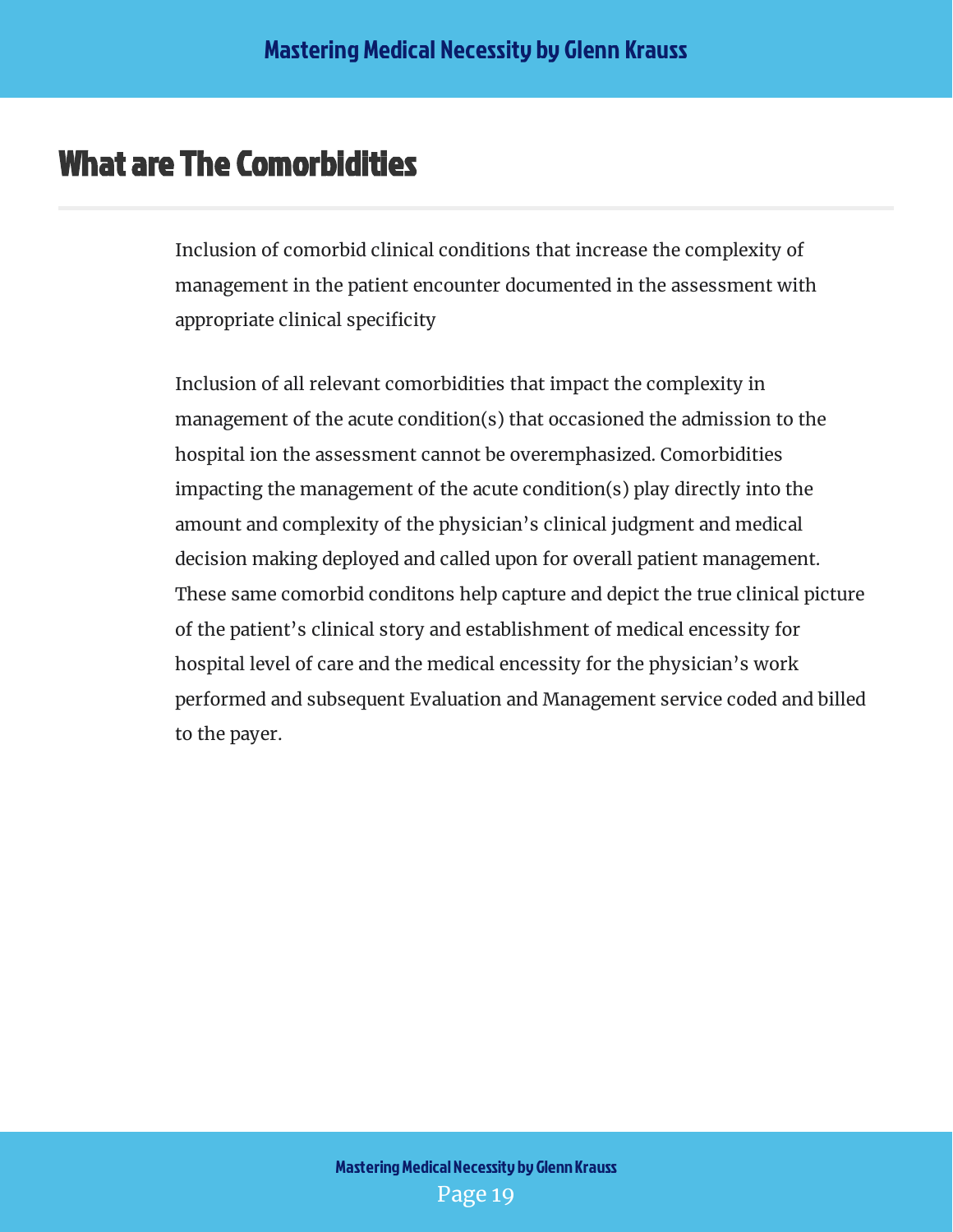## <span id="page-19-0"></span>What are The Comorbidities

Inclusion of comorbid clinical conditions that increase the complexity of management in the patient encounter documented in the assessment with appropriate clinical specificity

Inclusion of all relevant comorbidities that impact the complexity in management of the acute condition(s) that occasioned the admission to the hospital ion the assessment cannot be overemphasized. Comorbidities impacting the management of the acute condition(s) play directly into the amount and complexity of the physician's clinical judgment and medical decision making deployed and called upon for overall patient management. These same comorbid conditons help capture and depict the true clinical picture of the patient's clinical story and establishment of medical encessity for hospital level of care and the medical encessity for the physician's work performed and subsequent Evaluation and Management service coded and billed to the payer.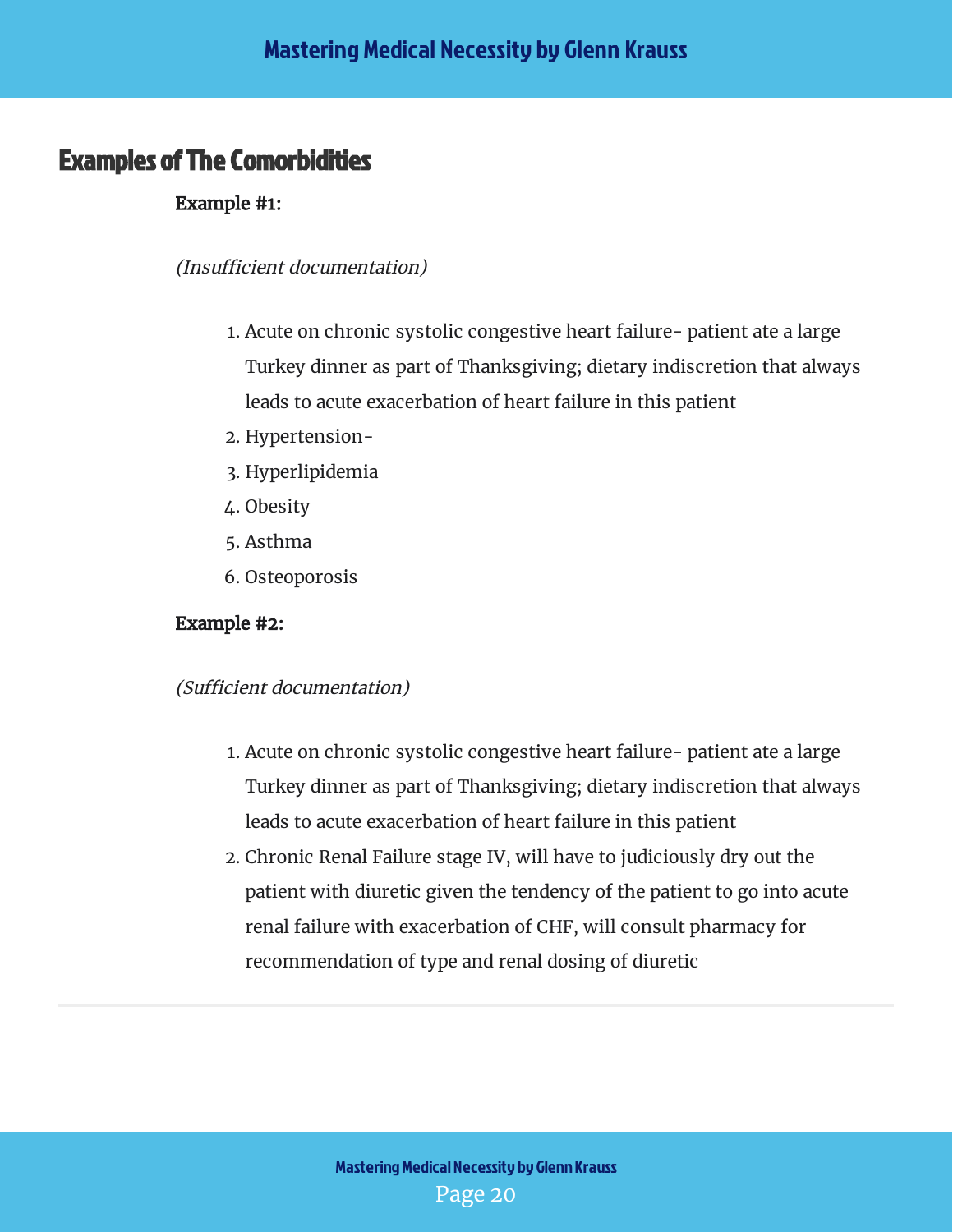#### <span id="page-20-0"></span>Examples of The Comorbidities

#### Example #1:

#### (Insufficient documentation)

- 1. Acute on chronic systolic congestive heart failure- patient ate a large Turkey dinner as part of Thanksgiving; dietary indiscretion that always leads to acute exacerbation of heart failure in this patient
- 2. Hypertension-
- 3. Hyperlipidemia
- 4. Obesity
- 5. Asthma
- 6. Osteoporosis

#### Example #2:

#### (Sufficient documentation)

- 1. Acute on chronic systolic congestive heart failure- patient ate a large Turkey dinner as part of Thanksgiving; dietary indiscretion that always leads to acute exacerbation of heart failure in this patient
- 2. Chronic Renal Failure stage IV, will have to judiciously dry out the patient with diuretic given the tendency of the patient to go into acute renal failure with exacerbation of CHF, will consult pharmacy for recommendation of type and renal dosing of diuretic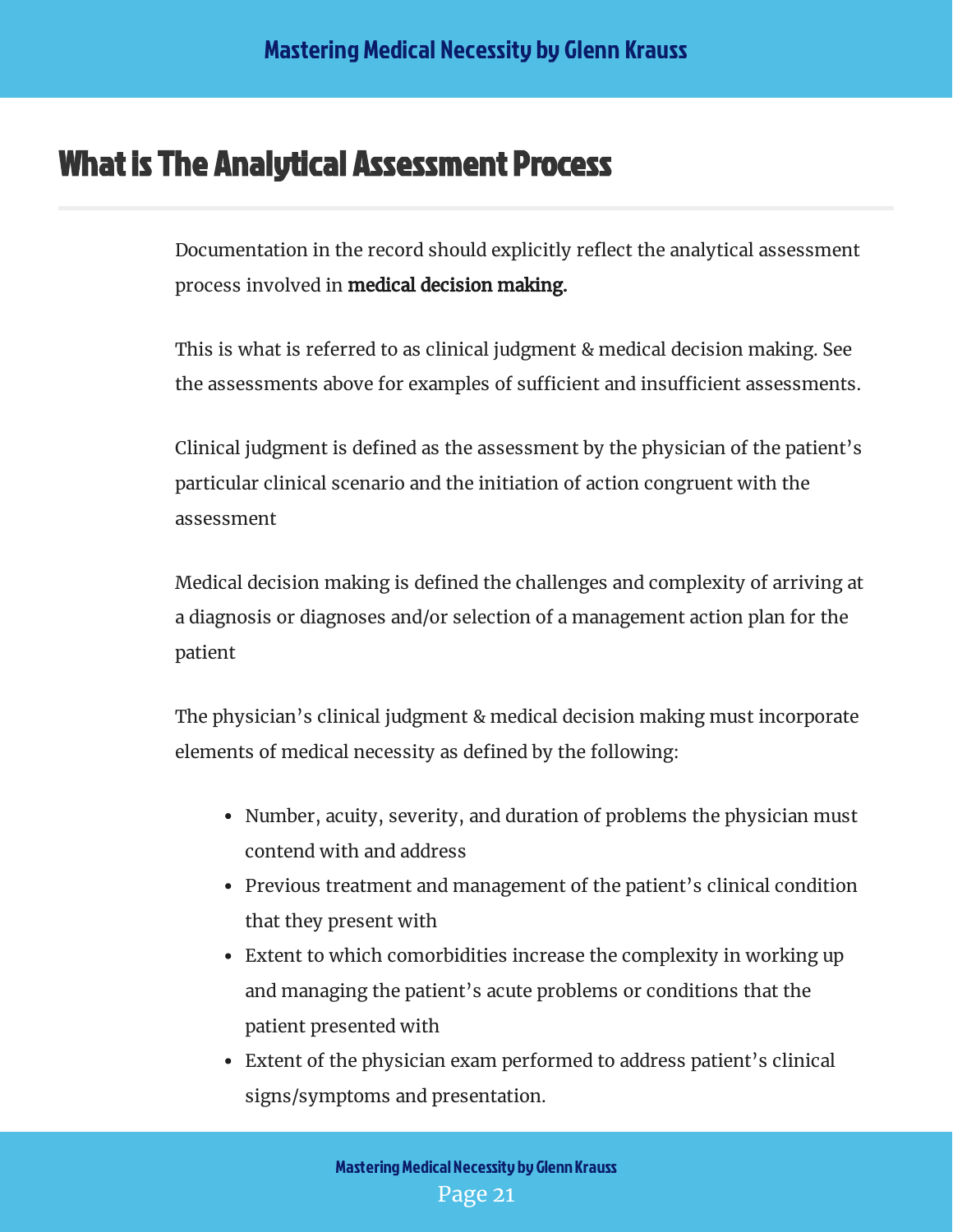## <span id="page-21-0"></span>What is The Analytical Assessment Process

Documentation in the record should explicitly reflect the analytical assessment process involved in medical decision making.

This is what is referred to as clinical judgment & medical decision making. See the assessments above for examples of sufficient and insufficient assessments.

Clinical judgment is defined as the assessment by the physician of the patient's particular clinical scenario and the initiation of action congruent with the assessment

Medical decision making is defined the challenges and complexity of arriving at a diagnosis or diagnoses and/or selection of a management action plan for the patient

The physician's clinical judgment & medical decision making must incorporate elements of medical necessity as defined by the following:

- Number, acuity, severity, and duration of problems the physician must contend with and address
- Previous treatment and management of the patient's clinical condition that they present with
- Extent to which comorbidities increase the complexity in working up and managing the patient's acute problems or conditions that the patient presented with
- Extent of the physician exam performed to address patient's clinical signs/symptoms and presentation.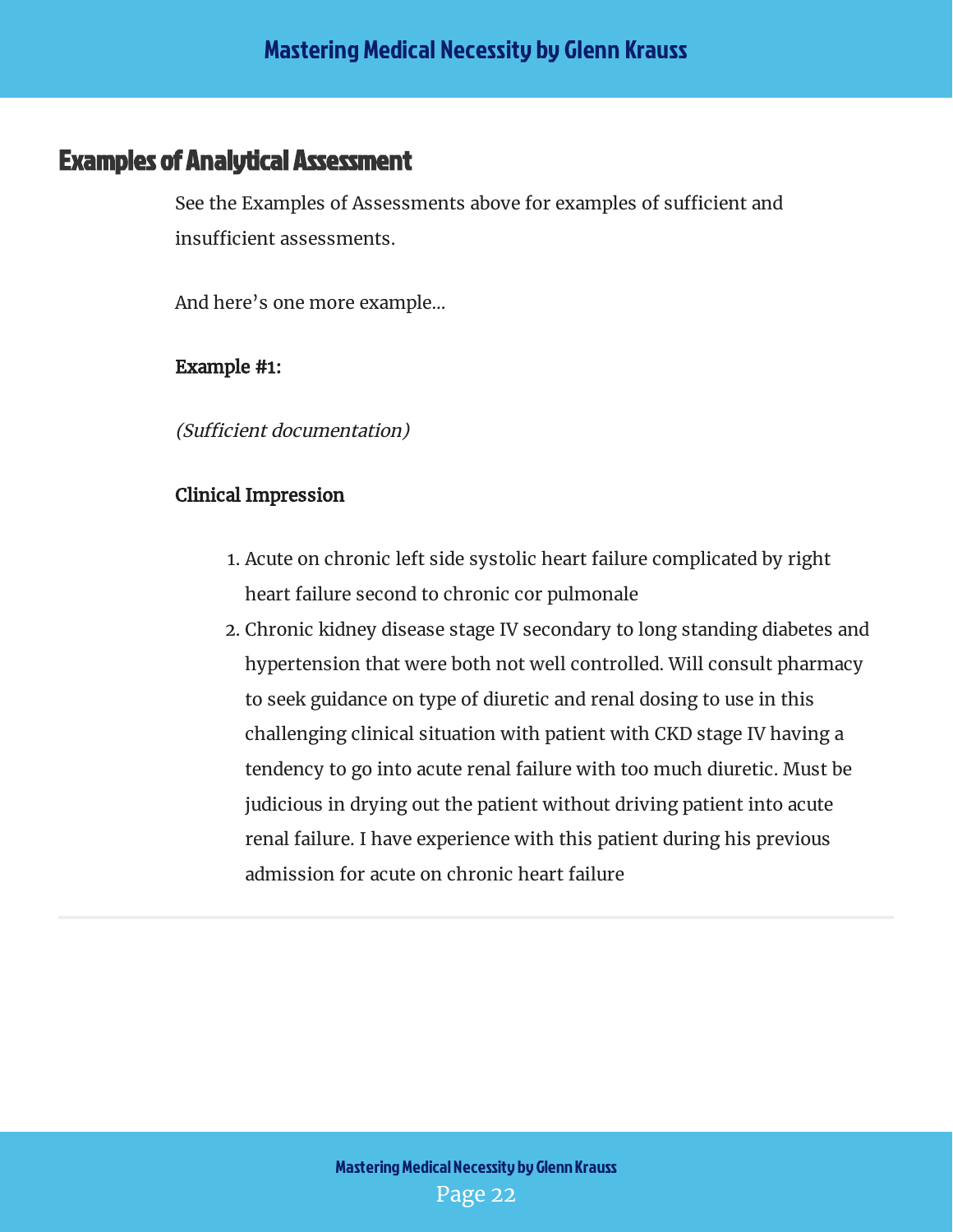#### <span id="page-22-0"></span>Examples of Analytical Assessment

See the Examples of Assessments above for examples of sufficient and insufficient assessments.

And here's one more example…

Example #1:

(Sufficient documentation)

#### Clinical Impression

- 1. Acute on chronic left side systolic heart failure complicated by right heart failure second to chronic cor pulmonale
- 2. Chronic kidney disease stage IV secondary to long standing diabetes and hypertension that were both not well controlled. Will consult pharmacy to seek guidance on type of diuretic and renal dosing to use in this challenging clinical situation with patient with CKD stage IV having a tendency to go into acute renal failure with too much diuretic. Must be judicious in drying out the patient without driving patient into acute renal failure. I have experience with this patient during his previous admission for acute on chronic heart failure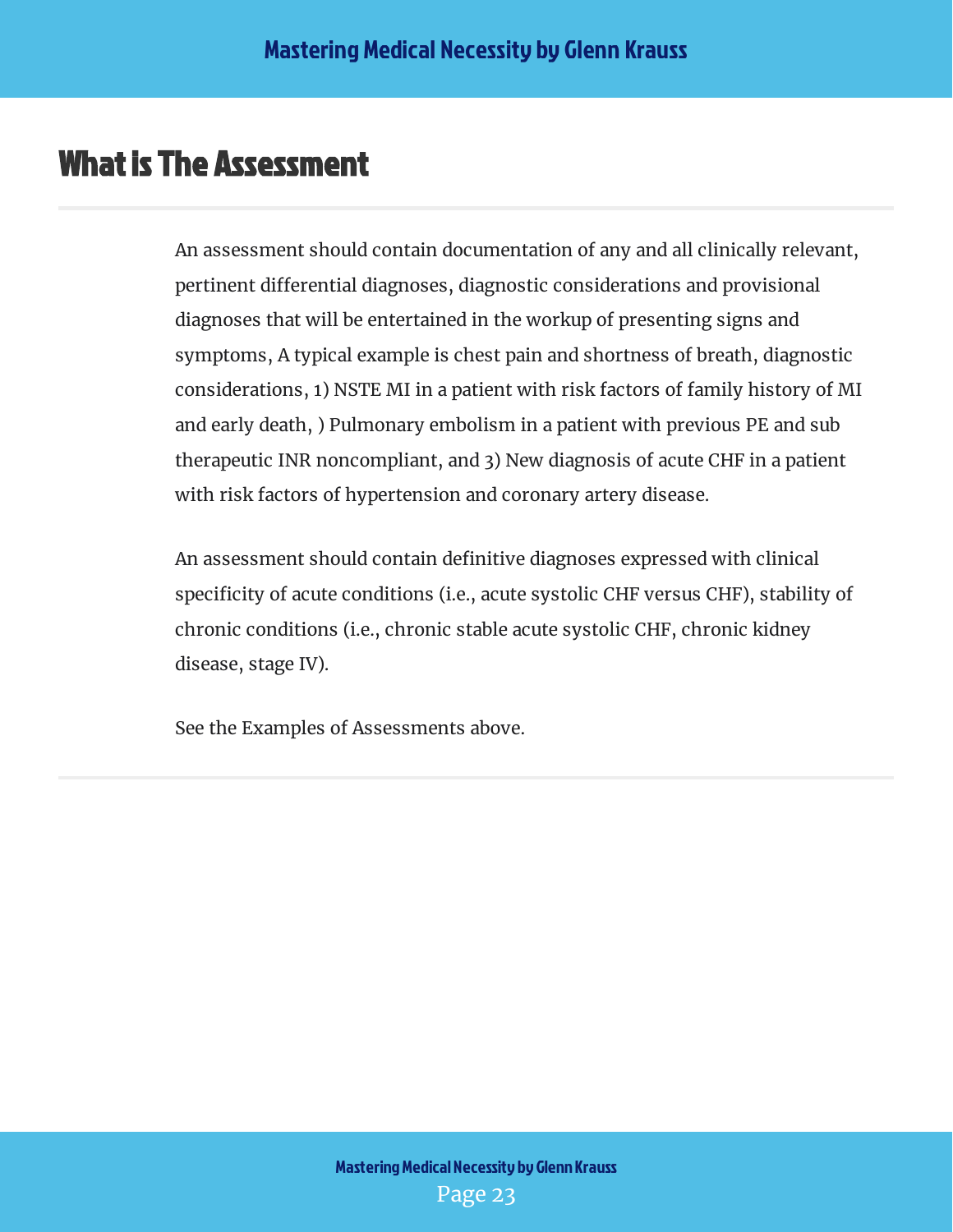## <span id="page-23-0"></span>What is The Assessment

An assessment should contain documentation of any and all clinically relevant, pertinent differential diagnoses, diagnostic considerations and provisional diagnoses that will be entertained in the workup of presenting signs and symptoms, A typical example is chest pain and shortness of breath, diagnostic considerations, 1) NSTE MI in a patient with risk factors of family history of MI and early death, ) Pulmonary embolism in a patient with previous PE and sub therapeutic INR noncompliant, and 3) New diagnosis of acute CHF in a patient with risk factors of hypertension and coronary artery disease.

An assessment should contain definitive diagnoses expressed with clinical specificity of acute conditions (i.e., acute systolic CHF versus CHF), stability of chronic conditions (i.e., chronic stable acute systolic CHF, chronic kidney disease, stage IV).

See the Examples of Assessments above.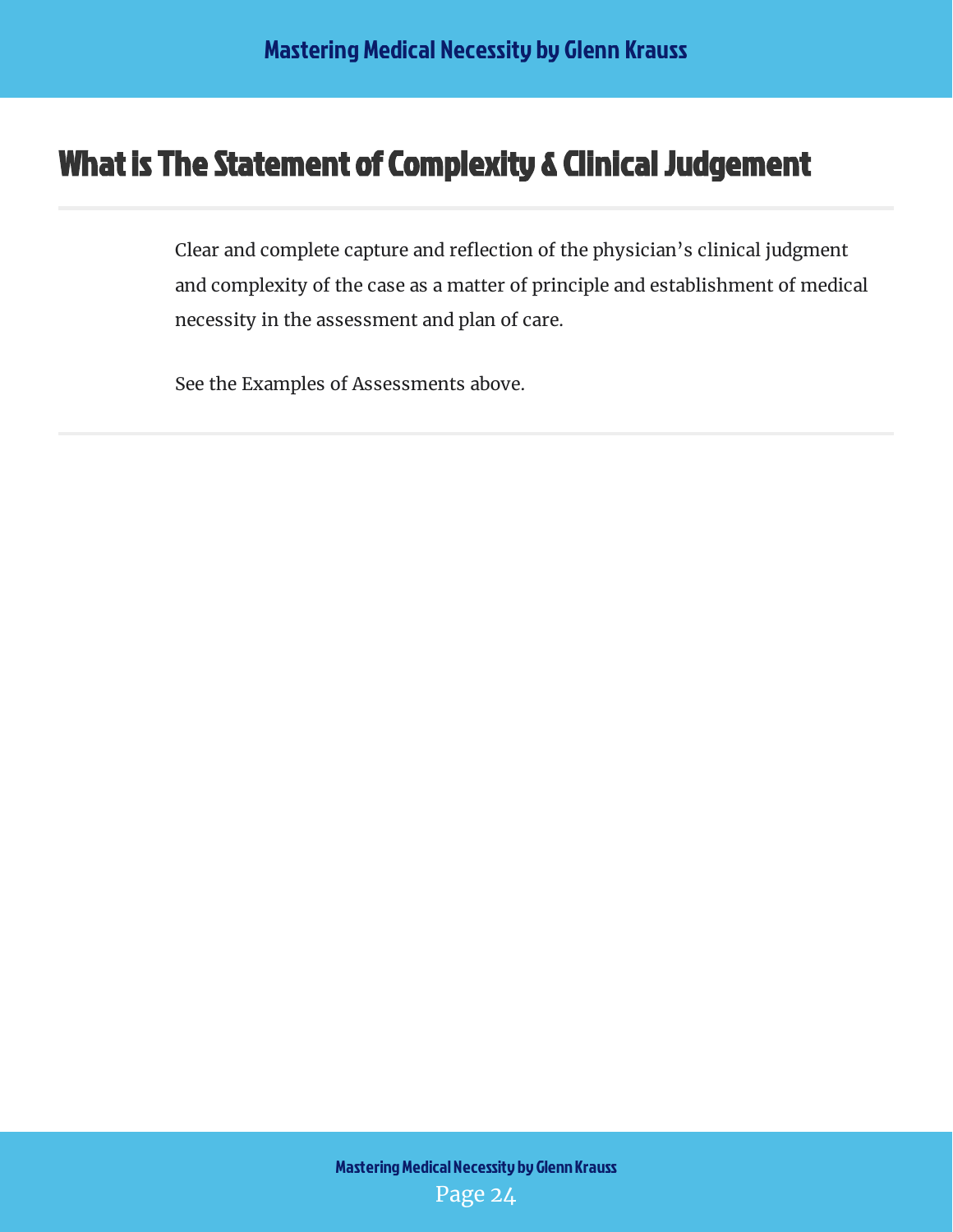## <span id="page-24-0"></span>What is The Statement of Complexity & Clinical Judgement

Clear and complete capture and reflection of the physician's clinical judgment and complexity of the case as a matter of principle and establishment of medical necessity in the assessment and plan of care.

See the Examples of Assessments above.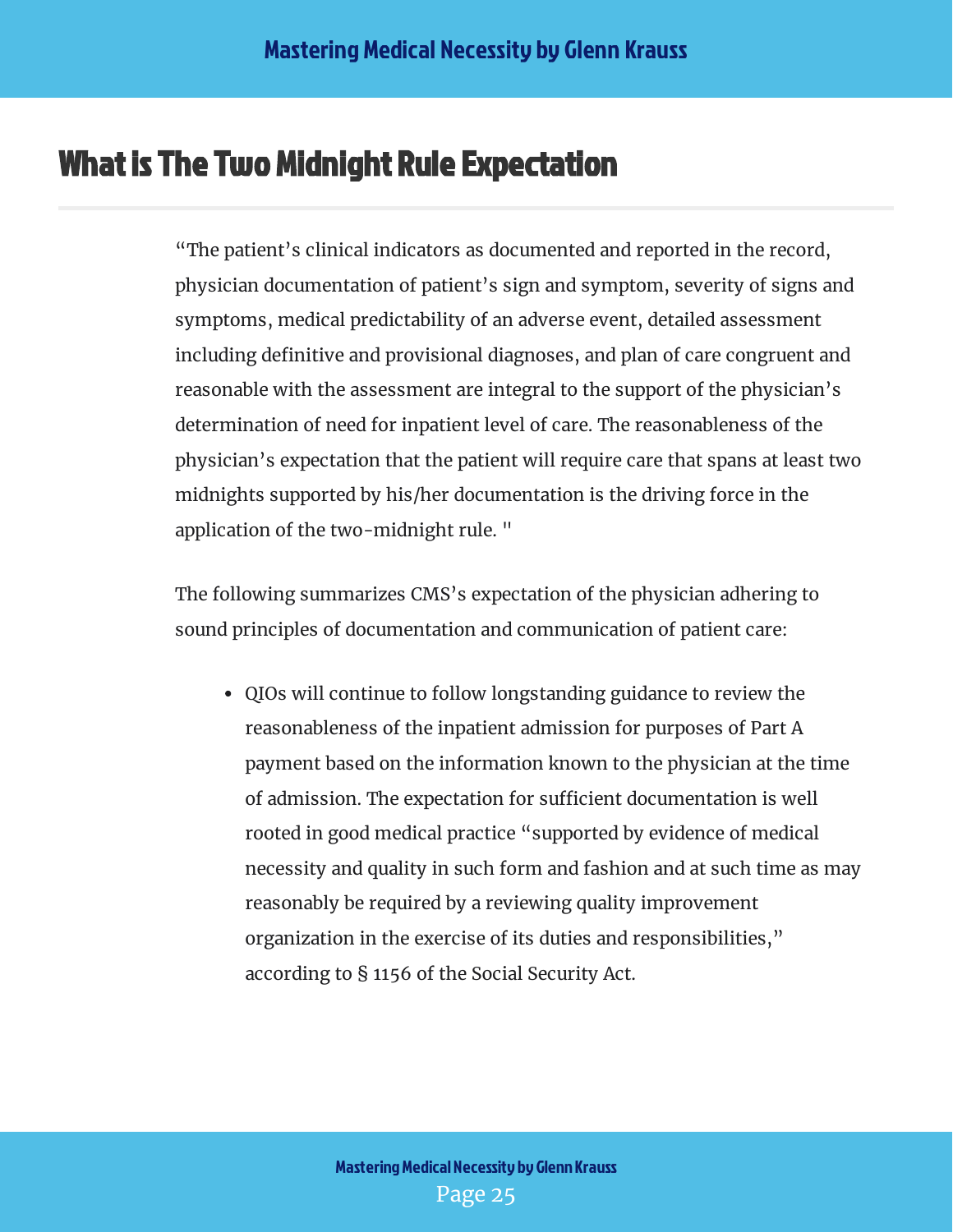## <span id="page-25-0"></span>What is The Two Midnight Rule Expectation

"The patient's clinical indicators as documented and reported in the record, physician documentation of patient's sign and symptom, severity of signs and symptoms, medical predictability of an adverse event, detailed assessment including definitive and provisional diagnoses, and plan of care congruent and reasonable with the assessment are integral to the support of the physician's determination of need for inpatient level of care. The reasonableness of the physician's expectation that the patient will require care that spans at least two midnights supported by his/her documentation is the driving force in the application of the two-midnight rule. "

The following summarizes CMS's expectation of the physician adhering to sound principles of documentation and communication of patient care:

 QIOs will continue to follow longstanding guidance to review the reasonableness of the inpatient admission for purposes of Part A payment based on the information known to the physician at the time of admission. The expectation for sufficient documentation is well rooted in good medical practice "supported by evidence of medical necessity and quality in such form and fashion and at such time as may reasonably be required by a reviewing quality improvement organization in the exercise of its duties and responsibilities," according to § 1156 of the Social Security Act.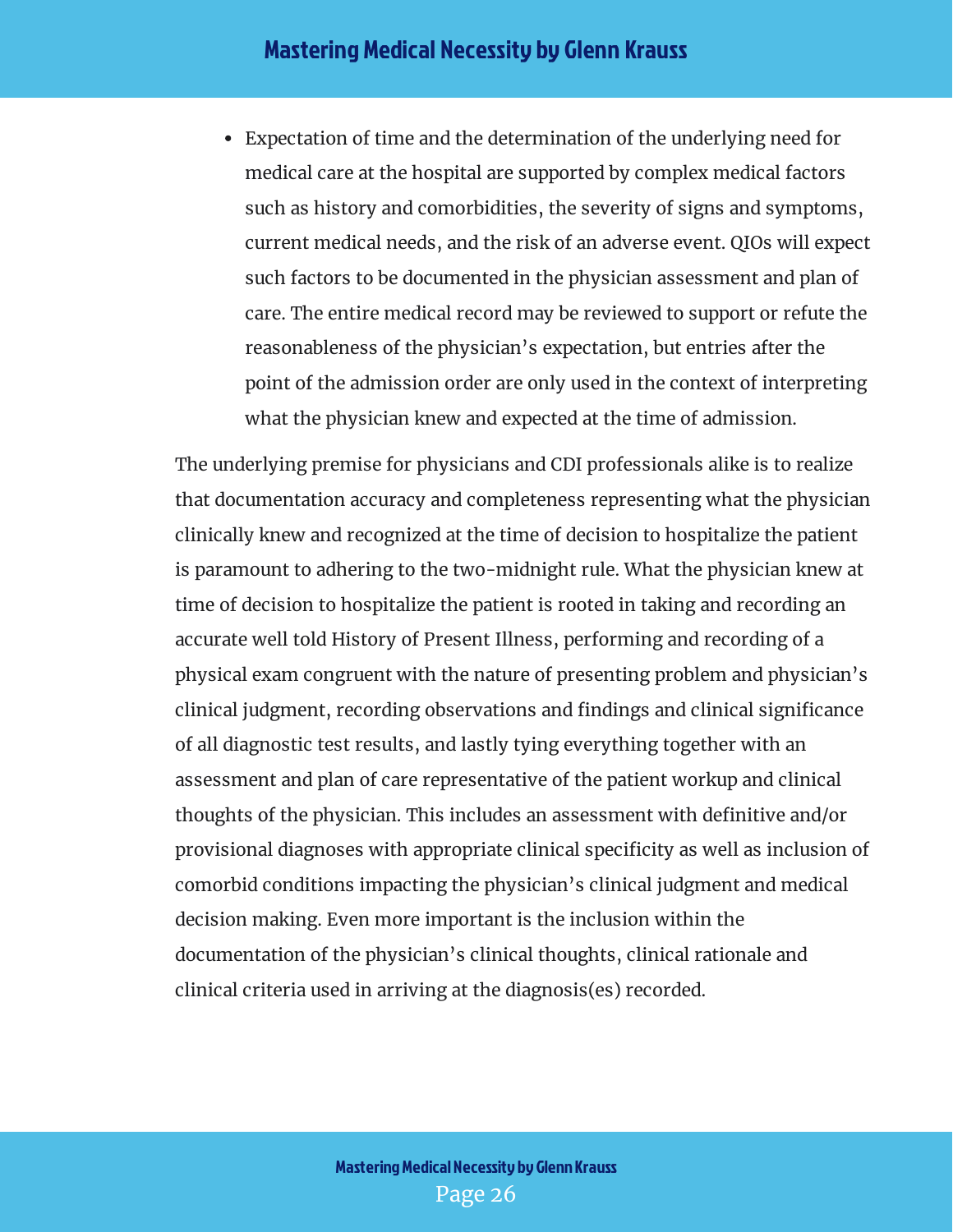Expectation of time and the determination of the underlying need for medical care at the hospital are supported by complex medical factors such as history and comorbidities, the severity of signs and symptoms, current medical needs, and the risk of an adverse event. QIOs will expect such factors to be documented in the physician assessment and plan of care. The entire medical record may be reviewed to support or refute the reasonableness of the physician's expectation, but entries after the point of the admission order are only used in the context of interpreting what the physician knew and expected at the time of admission.

The underlying premise for physicians and CDI professionals alike is to realize that documentation accuracy and completeness representing what the physician clinically knew and recognized at the time of decision to hospitalize the patient is paramount to adhering to the two-midnight rule. What the physician knew at time of decision to hospitalize the patient is rooted in taking and recording an accurate well told History of Present Illness, performing and recording of a physical exam congruent with the nature of presenting problem and physician's clinical judgment, recording observations and findings and clinical significance of all diagnostic test results, and lastly tying everything together with an assessment and plan of care representative of the patient workup and clinical thoughts of the physician. This includes an assessment with definitive and/or provisional diagnoses with appropriate clinical specificity as well as inclusion of comorbid conditions impacting the physician's clinical judgment and medical decision making. Even more important is the inclusion within the documentation of the physician's clinical thoughts, clinical rationale and clinical criteria used in arriving at the diagnosis(es) recorded.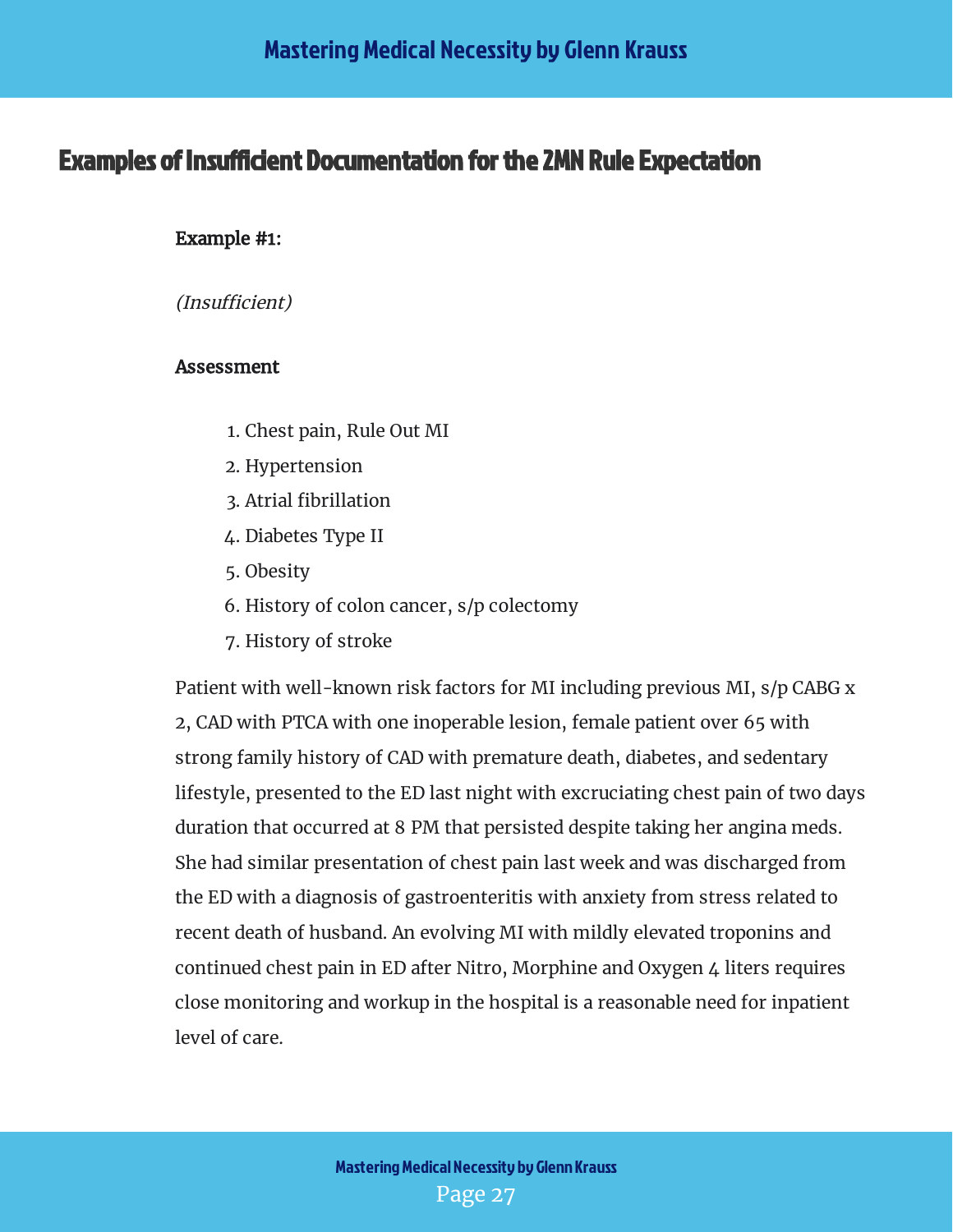#### <span id="page-27-0"></span>**Examples of Insufficient Documentation for the 2MN Rule Expectation**

#### Example #1:

(Insufficient)

#### Assessment

- 1. Chest pain, Rule Out MI
- 2. Hypertension
- 3. Atrial fibrillation
- 4. Diabetes Type II
- 5. Obesity
- 6. History of colon cancer, s/p colectomy
- 7. History of stroke

Patient with well-known risk factors for MI including previous MI, s/p CABG x 2, CAD with PTCA with one inoperable lesion, female patient over 65 with strong family history of CAD with premature death, diabetes, and sedentary lifestyle, presented to the ED last night with excruciating chest pain of two days duration that occurred at 8 PM that persisted despite taking her angina meds. She had similar presentation of chest pain last week and was discharged from the ED with a diagnosis of gastroenteritis with anxiety from stress related to recent death of husband. An evolving MI with mildly elevated troponins and continued chest pain in ED after Nitro, Morphine and Oxygen 4 liters requires close monitoring and workup in the hospital is a reasonable need for inpatient level of care.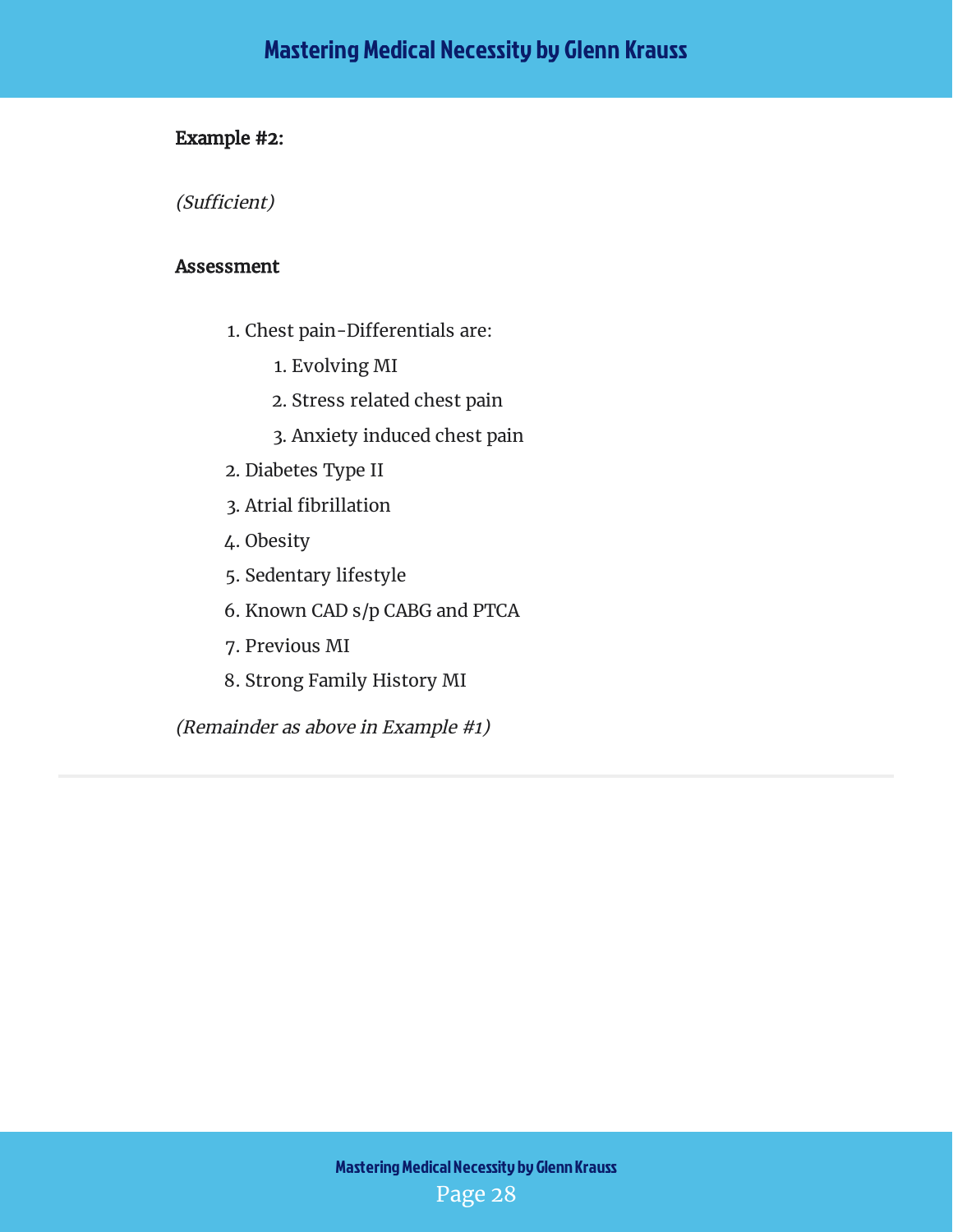#### Example #2:

(Sufficient)

#### Assessment

- 1. Chest pain-Differentials are:
	- 1. Evolving MI
	- 2. Stress related chest pain
	- 3. Anxiety induced chest pain
- 2. Diabetes Type II
- 3. Atrial fibrillation
- 4. Obesity
- 5. Sedentary lifestyle
- 6. Known CAD s/p CABG and PTCA
- 7. Previous MI
- 8. Strong Family History MI

(Remainder as above in Example #1)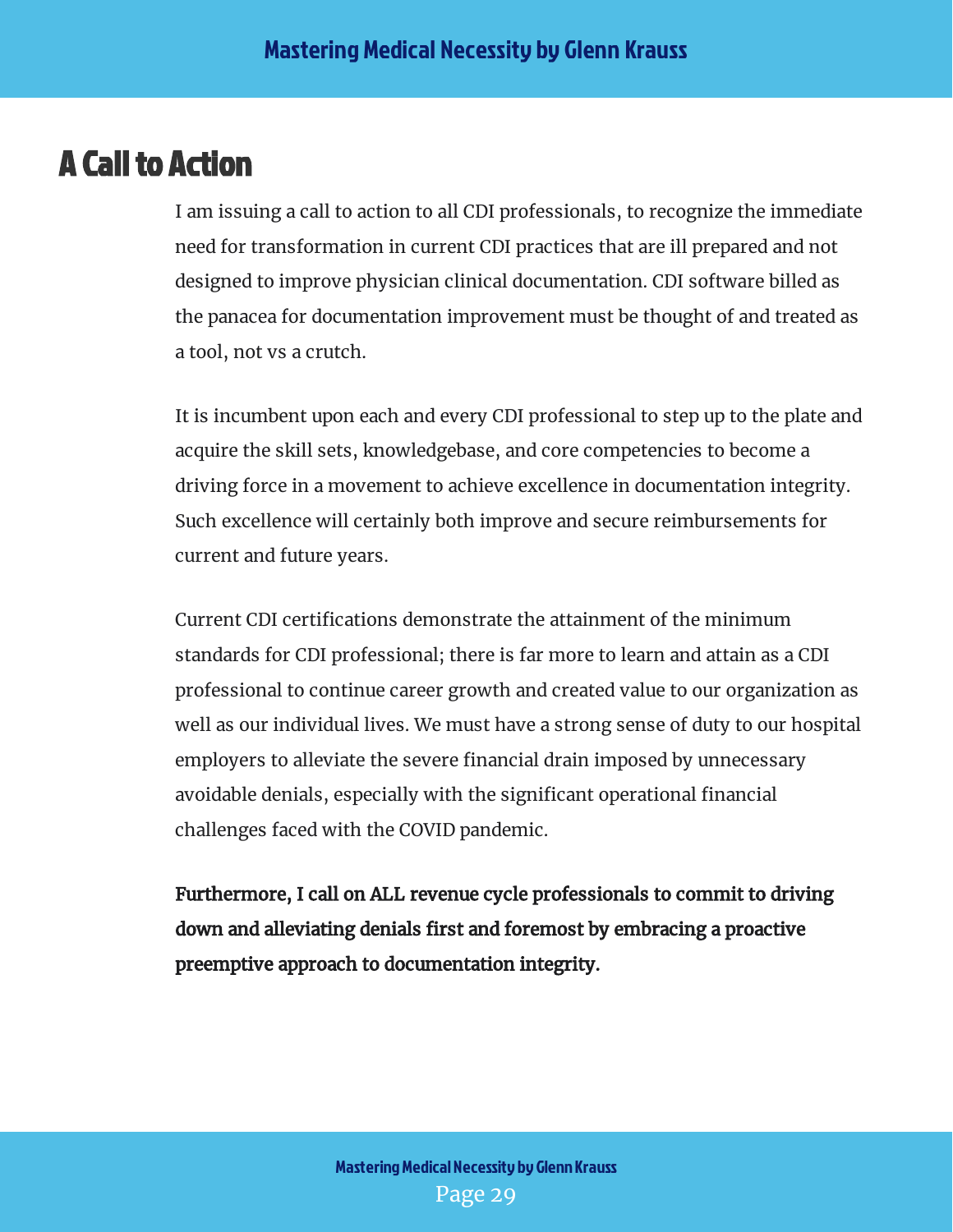## <span id="page-29-0"></span>A Call to Action

I am issuing a call to action to all CDI professionals, to recognize the immediate need for transformation in current CDI practices that are ill prepared and not designed to improve physician clinical documentation. CDI software billed as the panacea for documentation improvement must be thought of and treated as a tool, not vs a crutch.

It is incumbent upon each and every CDI professional to step up to the plate and acquire the skill sets, knowledgebase, and core competencies to become a driving force in a movement to achieve excellence in documentation integrity. Such excellence will certainly both improve and secure reimbursements for current and future years.

Current CDI certifications demonstrate the attainment of the minimum standards for CDI professional; there is far more to learn and attain as a CDI professional to continue career growth and created value to our organization as well as our individual lives. We must have a strong sense of duty to our hospital employers to alleviate the severe financial drain imposed by unnecessary avoidable denials, especially with the significant operational financial challenges faced with the COVID pandemic.

Furthermore, I call on ALL revenue cycle professionals to commit to driving down and alleviating denials first and foremost by embracing a proactive preemptive approach to documentation integrity.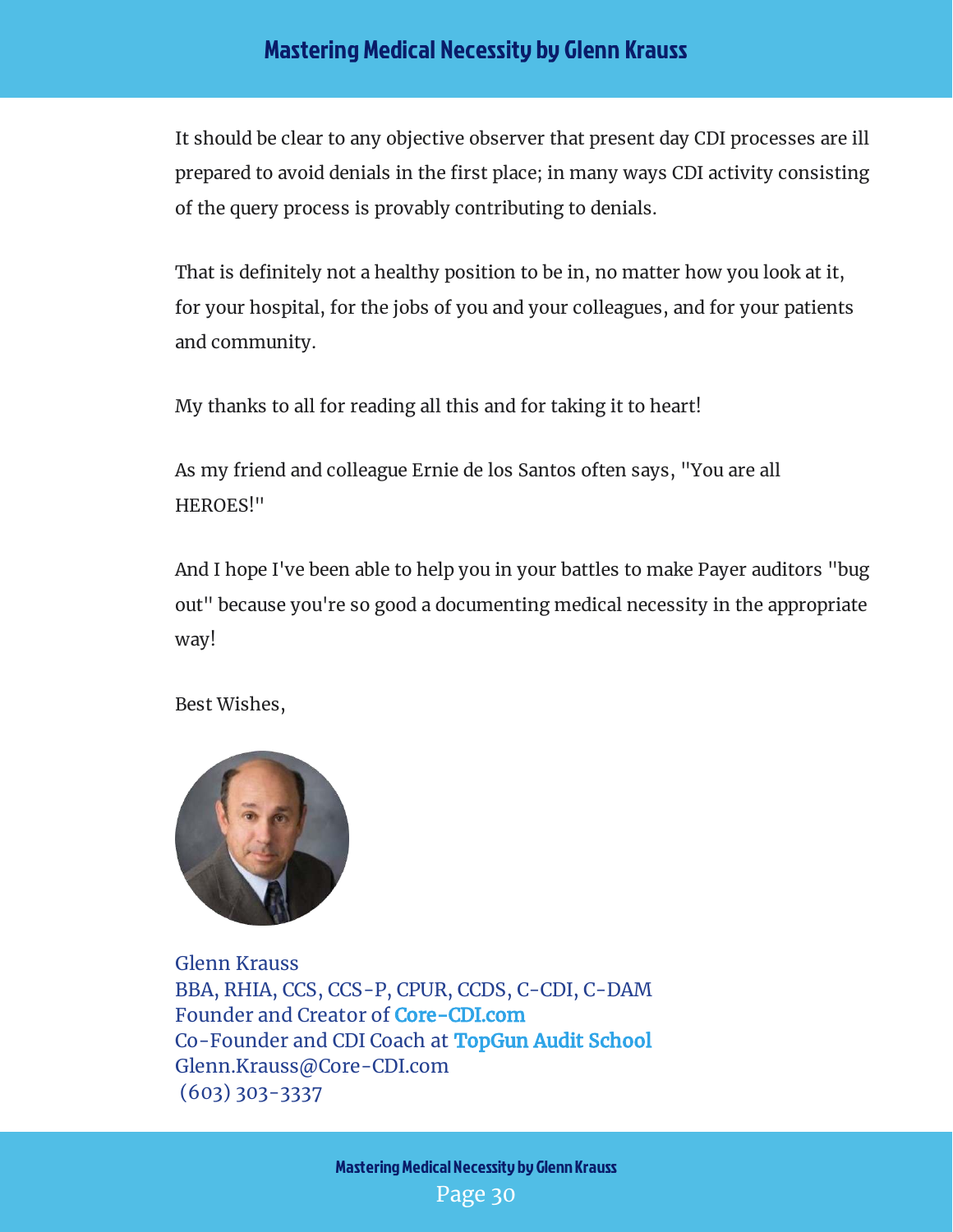#### Mastering Medical Necessity by Glenn Krauss

It should be clear to any objective observer that present day CDI processes are ill prepared to avoid denials in the first place; in many ways CDI activity consisting of the query process is provably contributing to denials.

That is definitely not a healthy position to be in, no matter how you look at it, for your hospital, for the jobs of you and your colleagues, and for your patients and community.

My thanks to all for reading all this and for taking it to heart!

As my friend and colleague Ernie de los Santos often says, "You are all HEROES!"

And I hope I've been able to help you in your battles to make Payer auditors "bug out" because you're so good a documenting medical necessity in the appropriate way!

Best Wishes,



Glenn Krauss BBA, RHIA, CCS, CCS-P, CPUR, CCDS, C-CDI, C-DAM Founder and Creator of **[Core-CDI.com](https://www.core-cdi.com/)** Co-Founder and CDI Coach at [TopGun Audit School](https://www.topgunauditschool.com/) Glenn.Krauss@Core-CDI.com (603) 303-3337